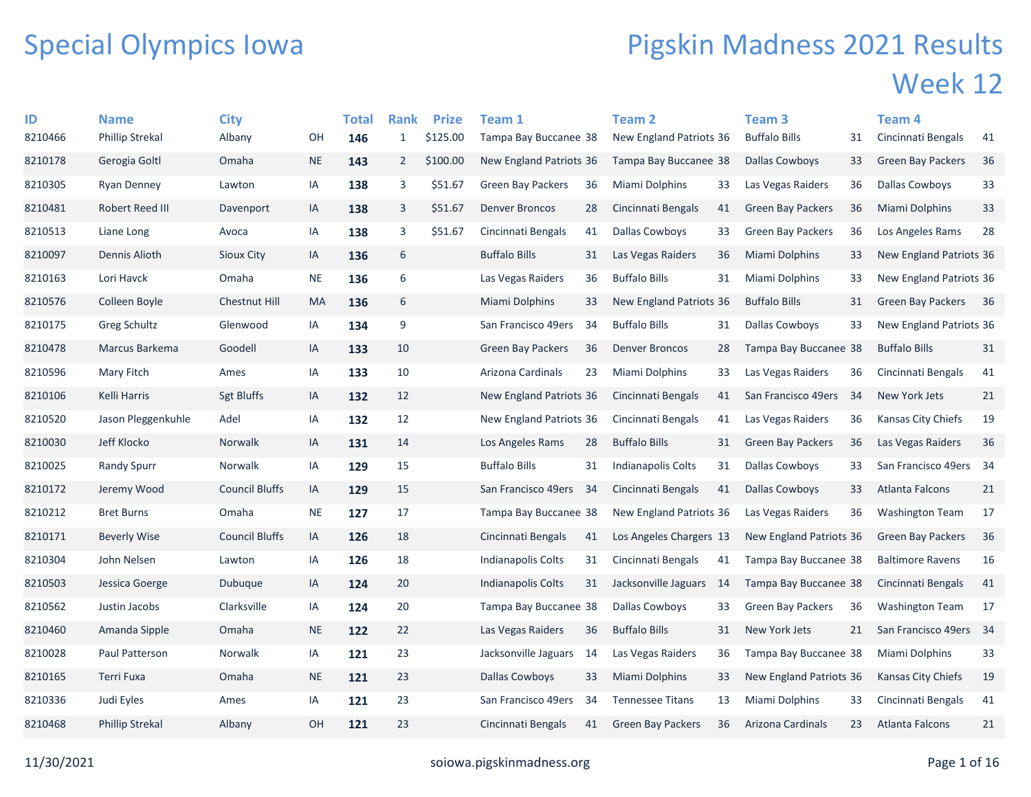## Special Olympics Iowa

## Pigskin Madness 2021 Results Week 12

| ID      | <b>Name</b>            | <b>City</b>           |           | Total | <b>Rank</b>      | <b>Prize</b> | <b>Team 1</b>            |     | <b>Team 2</b>                  |     | <b>Team 3</b>            |     | Team 4                   |      |
|---------|------------------------|-----------------------|-----------|-------|------------------|--------------|--------------------------|-----|--------------------------------|-----|--------------------------|-----|--------------------------|------|
| 8210466 | <b>Phillip Strekal</b> | Albany                | OН        | 146   | $\mathbf{1}$     | \$125.00     | Tampa Bay Buccanee 38    |     | New England Patriots 36        |     | <b>Buffalo Bills</b>     | 31  | Cincinnati Bengals       | 41   |
| 8210178 | Gerogia Goltl          | Omaha                 | <b>NE</b> | 143   | $\overline{2}$   | \$100.00     | New England Patriots 36  |     | Tampa Bay Buccanee 38          |     | <b>Dallas Cowboys</b>    | 33  | <b>Green Bay Packers</b> | 36   |
| 8210305 | Ryan Denney            | Lawton                | IA        | 138   | 3                | \$51.67      | <b>Green Bay Packers</b> | 36  | Miami Dolphins                 | 33  | Las Vegas Raiders        | 36  | Dallas Cowboys           | 33   |
| 8210481 | Robert Reed III        | Davenport             | IA        | 138   | 3                | \$51.67      | <b>Denver Broncos</b>    | 28  | Cincinnati Bengals             | 41  | <b>Green Bay Packers</b> | 36  | Miami Dolphins           | 33   |
| 8210513 | Liane Long             | Avoca                 | IA        | 138   | 3                | \$51.67      | Cincinnati Bengals       | 41  | Dallas Cowboys                 | 33  | <b>Green Bay Packers</b> | 36  | Los Angeles Rams         | 28   |
| 8210097 | Dennis Alioth          | Sioux City            | IA        | 136   | 6                |              | <b>Buffalo Bills</b>     | 31  | Las Vegas Raiders              | 36  | <b>Miami Dolphins</b>    | 33  | New England Patriots 36  |      |
| 8210163 | Lori Havck             | Omaha                 | <b>NE</b> | 136   | 6                |              | Las Vegas Raiders        | 36  | <b>Buffalo Bills</b>           | 31  | Miami Dolphins           | 33  | New England Patriots 36  |      |
| 8210576 | Colleen Boyle          | Chestnut Hill         | MA        | 136   | $\boldsymbol{6}$ |              | Miami Dolphins           | 33  | New England Patriots 36        |     | <b>Buffalo Bills</b>     | 31  | <b>Green Bay Packers</b> | - 36 |
| 8210175 | Greg Schultz           | Glenwood              | IA        | 134   | 9                |              | San Francisco 49ers      | 34  | <b>Buffalo Bills</b>           | 31  | <b>Dallas Cowboys</b>    | 33  | New England Patriots 36  |      |
| 8210478 | Marcus Barkema         | Goodell               | IA        | 133   | 10               |              | <b>Green Bay Packers</b> | 36  | <b>Denver Broncos</b>          | 28  | Tampa Bay Buccanee 38    |     | <b>Buffalo Bills</b>     | 31   |
| 8210596 | Mary Fitch             | Ames                  | IA        | 133   | 10               |              | Arizona Cardinals        | 23  | Miami Dolphins                 | 33  | Las Vegas Raiders        | 36  | Cincinnati Bengals       | 41   |
| 8210106 | Kelli Harris           | <b>Sgt Bluffs</b>     | IA        | 132   | 12               |              | New England Patriots 36  |     | Cincinnati Bengals             | 41  | San Francisco 49ers      | -34 | New York Jets            | 21   |
| 8210520 | Jason Pleggenkuhle     | Adel                  | IA        | 132   | 12               |              | New England Patriots 36  |     | Cincinnati Bengals             | 41  | Las Vegas Raiders        | 36  | Kansas City Chiefs       | 19   |
| 8210030 | Jeff Klocko            | <b>Norwalk</b>        | IA        | 131   | 14               |              | Los Angeles Rams         | 28  | <b>Buffalo Bills</b>           | 31  | <b>Green Bay Packers</b> | 36  | Las Vegas Raiders        | 36   |
| 8210025 | <b>Randy Spurr</b>     | Norwalk               | IA        | 129   | 15               |              | <b>Buffalo Bills</b>     | 31  | <b>Indianapolis Colts</b>      | 31  | <b>Dallas Cowboys</b>    | 33  | San Francisco 49ers 34   |      |
| 8210172 | Jeremy Wood            | <b>Council Bluffs</b> | IA        | 129   | 15               |              | San Francisco 49ers      | -34 | Cincinnati Bengals             | 41  | <b>Dallas Cowboys</b>    | 33  | <b>Atlanta Falcons</b>   | 21   |
| 8210212 | <b>Bret Burns</b>      | Omaha                 | <b>NE</b> | 127   | 17               |              | Tampa Bay Buccanee 38    |     | <b>New England Patriots 36</b> |     | Las Vegas Raiders        | 36  | <b>Washington Team</b>   | 17   |
| 8210171 | <b>Beverly Wise</b>    | <b>Council Bluffs</b> | IA        | 126   | 18               |              | Cincinnati Bengals       | 41  | Los Angeles Chargers 13        |     | New England Patriots 36  |     | <b>Green Bay Packers</b> | 36   |
| 8210304 | John Nelsen            | Lawton                | IA        | 126   | 18               |              | Indianapolis Colts       | 31  | Cincinnati Bengals             | 41  | Tampa Bay Buccanee 38    |     | <b>Baltimore Ravens</b>  | 16   |
| 8210503 | Jessica Goerge         | Dubuque               | IA        | 124   | 20               |              | Indianapolis Colts       | 31  | Jacksonville Jaguars           | -14 | Tampa Bay Buccanee 38    |     | Cincinnati Bengals       | 41   |
| 8210562 | Justin Jacobs          | Clarksville           | IA        | 124   | 20               |              | Tampa Bay Buccanee 38    |     | Dallas Cowboys                 | 33  | <b>Green Bay Packers</b> | 36  | <b>Washington Team</b>   | 17   |
| 8210460 | Amanda Sipple          | Omaha                 | <b>NE</b> | 122   | 22               |              | Las Vegas Raiders        | 36  | <b>Buffalo Bills</b>           | 31  | New York Jets            | 21  | San Francisco 49ers      | 34   |
| 8210028 | Paul Patterson         | Norwalk               | IA        | 121   | 23               |              | Jacksonville Jaguars     | 14  | Las Vegas Raiders              | 36  | Tampa Bay Buccanee 38    |     | Miami Dolphins           | 33   |
| 8210165 | Terri Fuxa             | Omaha                 | <b>NE</b> | 121   | 23               |              | <b>Dallas Cowboys</b>    | 33  | Miami Dolphins                 | 33  | New England Patriots 36  |     | Kansas City Chiefs       | 19   |
| 8210336 | Judi Eyles             | Ames                  | IA        | 121   | 23               |              | San Francisco 49ers      | 34  | <b>Tennessee Titans</b>        | 13  | Miami Dolphins           | 33  | Cincinnati Bengals       | 41   |
| 8210468 | <b>Phillip Strekal</b> | Albany                | OH        | 121   | 23               |              | Cincinnati Bengals       | 41  | <b>Green Bay Packers</b>       | 36  | Arizona Cardinals        | 23  | <b>Atlanta Falcons</b>   | 21   |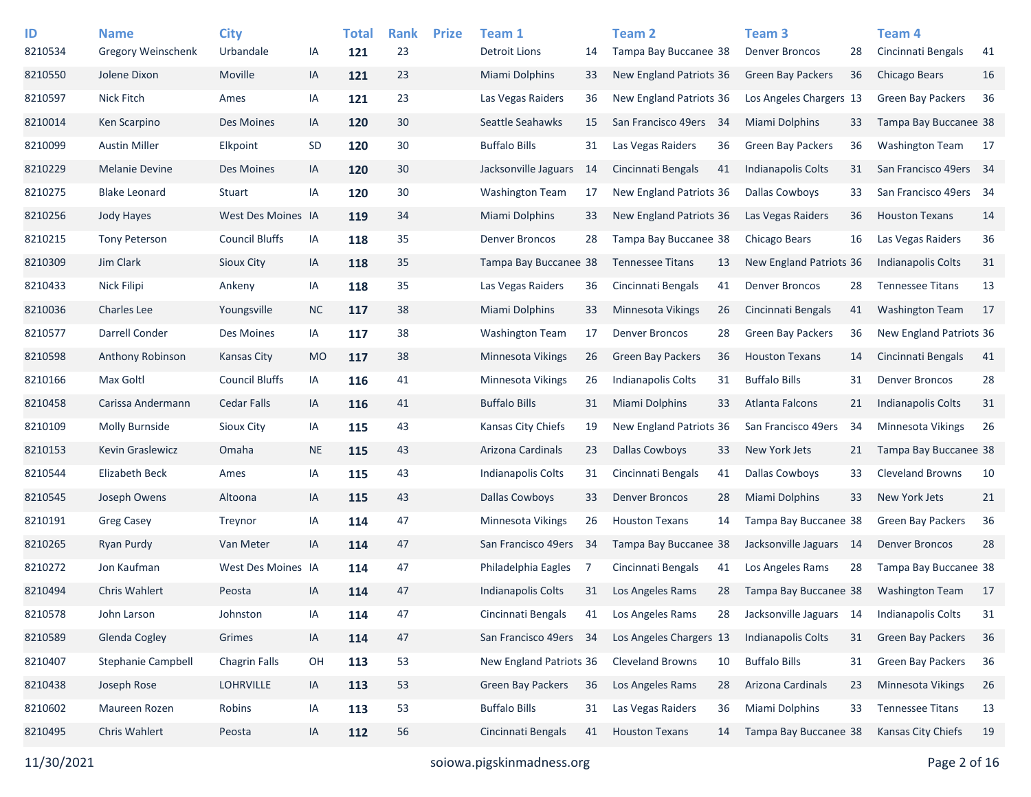| ID      | <b>Name</b>               | <b>City</b>           |           | <b>Total</b> | <b>Rank</b> | <b>Prize</b> | Team 1                    |     | <b>Team 2</b>             |    | Team <sub>3</sub>        |    | Team <sub>4</sub>         |     |
|---------|---------------------------|-----------------------|-----------|--------------|-------------|--------------|---------------------------|-----|---------------------------|----|--------------------------|----|---------------------------|-----|
| 8210534 | <b>Gregory Weinschenk</b> | Urbandale             | IA        | 121          | 23          |              | <b>Detroit Lions</b>      | 14  | Tampa Bay Buccanee 38     |    | <b>Denver Broncos</b>    | 28 | Cincinnati Bengals        | 41  |
| 8210550 | Jolene Dixon              | Moville               | IA        | 121          | 23          |              | <b>Miami Dolphins</b>     | 33  | New England Patriots 36   |    | <b>Green Bay Packers</b> | 36 | <b>Chicago Bears</b>      | 16  |
| 8210597 | <b>Nick Fitch</b>         | Ames                  | IA        | 121          | 23          |              | Las Vegas Raiders         | 36  | New England Patriots 36   |    | Los Angeles Chargers 13  |    | <b>Green Bay Packers</b>  | 36  |
| 8210014 | Ken Scarpino              | Des Moines            | IA        | 120          | 30          |              | Seattle Seahawks          | 15  | San Francisco 49ers 34    |    | <b>Miami Dolphins</b>    | 33 | Tampa Bay Buccanee 38     |     |
| 8210099 | <b>Austin Miller</b>      | Elkpoint              | <b>SD</b> | 120          | 30          |              | <b>Buffalo Bills</b>      | 31  | Las Vegas Raiders         | 36 | <b>Green Bay Packers</b> | 36 | <b>Washington Team</b>    | -17 |
| 8210229 | <b>Melanie Devine</b>     | Des Moines            | IA        | 120          | 30          |              | Jacksonville Jaguars      | 14  | Cincinnati Bengals        | 41 | Indianapolis Colts       | 31 | San Francisco 49ers 34    |     |
| 8210275 | <b>Blake Leonard</b>      | <b>Stuart</b>         | IA        | 120          | 30          |              | <b>Washington Team</b>    | 17  | New England Patriots 36   |    | Dallas Cowboys           | 33 | San Francisco 49ers 34    |     |
| 8210256 | Jody Hayes                | West Des Moines IA    |           | 119          | 34          |              | <b>Miami Dolphins</b>     | 33  | New England Patriots 36   |    | Las Vegas Raiders        | 36 | <b>Houston Texans</b>     | 14  |
| 8210215 | <b>Tony Peterson</b>      | <b>Council Bluffs</b> | IA        | 118          | 35          |              | <b>Denver Broncos</b>     | 28  | Tampa Bay Buccanee 38     |    | Chicago Bears            | 16 | Las Vegas Raiders         | 36  |
| 8210309 | Jim Clark                 | Sioux City            | IA        | 118          | 35          |              | Tampa Bay Buccanee 38     |     | <b>Tennessee Titans</b>   | 13 | New England Patriots 36  |    | <b>Indianapolis Colts</b> | 31  |
| 8210433 | Nick Filipi               | Ankeny                | IA        | 118          | 35          |              | Las Vegas Raiders         | 36  | Cincinnati Bengals        | 41 | <b>Denver Broncos</b>    | 28 | <b>Tennessee Titans</b>   | 13  |
| 8210036 | <b>Charles Lee</b>        | Youngsville           | <b>NC</b> | 117          | 38          |              | <b>Miami Dolphins</b>     | 33  | Minnesota Vikings         | 26 | Cincinnati Bengals       | 41 | <b>Washington Team</b>    | 17  |
| 8210577 | Darrell Conder            | Des Moines            | IA        | 117          | 38          |              | <b>Washington Team</b>    | 17  | <b>Denver Broncos</b>     | 28 | <b>Green Bay Packers</b> | 36 | New England Patriots 36   |     |
| 8210598 | Anthony Robinson          | Kansas City           | <b>MO</b> | 117          | 38          |              | <b>Minnesota Vikings</b>  | 26  | Green Bay Packers         | 36 | <b>Houston Texans</b>    | 14 | Cincinnati Bengals        | 41  |
| 8210166 | Max Goltl                 | <b>Council Bluffs</b> | IA        | 116          | 41          |              | <b>Minnesota Vikings</b>  | 26  | <b>Indianapolis Colts</b> | 31 | <b>Buffalo Bills</b>     | 31 | <b>Denver Broncos</b>     | 28  |
| 8210458 | Carissa Andermann         | <b>Cedar Falls</b>    | IA        | 116          | 41          |              | <b>Buffalo Bills</b>      | 31  | Miami Dolphins            | 33 | <b>Atlanta Falcons</b>   | 21 | <b>Indianapolis Colts</b> | 31  |
| 8210109 | <b>Molly Burnside</b>     | <b>Sioux City</b>     | IA        | 115          | 43          |              | Kansas City Chiefs        | 19  | New England Patriots 36   |    | San Francisco 49ers      | 34 | <b>Minnesota Vikings</b>  | 26  |
| 8210153 | Kevin Graslewicz          | Omaha                 | <b>NE</b> | 115          | 43          |              | Arizona Cardinals         | 23  | <b>Dallas Cowboys</b>     | 33 | New York Jets            | 21 | Tampa Bay Buccanee 38     |     |
| 8210544 | <b>Elizabeth Beck</b>     | Ames                  | IA        | 115          | 43          |              | Indianapolis Colts        | 31  | Cincinnati Bengals        | 41 | <b>Dallas Cowboys</b>    | 33 | <b>Cleveland Browns</b>   | 10  |
| 8210545 | Joseph Owens              | Altoona               | IA        | 115          | 43          |              | <b>Dallas Cowboys</b>     | 33  | <b>Denver Broncos</b>     | 28 | Miami Dolphins           | 33 | New York Jets             | 21  |
| 8210191 | <b>Greg Casey</b>         | Treynor               | IA        | 114          | 47          |              | Minnesota Vikings         | 26  | <b>Houston Texans</b>     | 14 | Tampa Bay Buccanee 38    |    | <b>Green Bay Packers</b>  | 36  |
| 8210265 | <b>Ryan Purdy</b>         | Van Meter             | IA        | 114          | 47          |              | San Francisco 49ers       | 34  | Tampa Bay Buccanee 38     |    | Jacksonville Jaguars 14  |    | <b>Denver Broncos</b>     | 28  |
| 8210272 | Jon Kaufman               | West Des Moines IA    |           | 114          | 47          |              | Philadelphia Eagles       | 7   | Cincinnati Bengals        | 41 | Los Angeles Rams         | 28 | Tampa Bay Buccanee 38     |     |
| 8210494 | <b>Chris Wahlert</b>      | Peosta                | IA        | 114          | 47          |              | <b>Indianapolis Colts</b> | 31  | Los Angeles Rams          | 28 | Tampa Bay Buccanee 38    |    | <b>Washington Team</b>    | -17 |
| 8210578 | John Larson               | Johnston              | IA        | 114          | 47          |              | Cincinnati Bengals        | 41  | Los Angeles Rams          | 28 | Jacksonville Jaguars     | 14 | Indianapolis Colts        | 31  |
| 8210589 | Glenda Cogley             | Grimes                | IA        | 114          | 47          |              | San Francisco 49ers       | -34 | Los Angeles Chargers 13   |    | Indianapolis Colts       | 31 | Green Bay Packers         | 36  |
| 8210407 | Stephanie Campbell        | <b>Chagrin Falls</b>  | OH        | 113          | 53          |              | New England Patriots 36   |     | <b>Cleveland Browns</b>   | 10 | <b>Buffalo Bills</b>     | 31 | Green Bay Packers         | 36  |
| 8210438 | Joseph Rose               | <b>LOHRVILLE</b>      | IA        | 113          | 53          |              | Green Bay Packers         | 36  | Los Angeles Rams          | 28 | Arizona Cardinals        | 23 | Minnesota Vikings         | 26  |
| 8210602 | Maureen Rozen             | Robins                | IA        | 113          | 53          |              | <b>Buffalo Bills</b>      | 31  | Las Vegas Raiders         | 36 | Miami Dolphins           | 33 | <b>Tennessee Titans</b>   | 13  |
| 8210495 | Chris Wahlert             | Peosta                | IA        | 112          | 56          |              | Cincinnati Bengals        | 41  | <b>Houston Texans</b>     | 14 | Tampa Bay Buccanee 38    |    | Kansas City Chiefs        | 19  |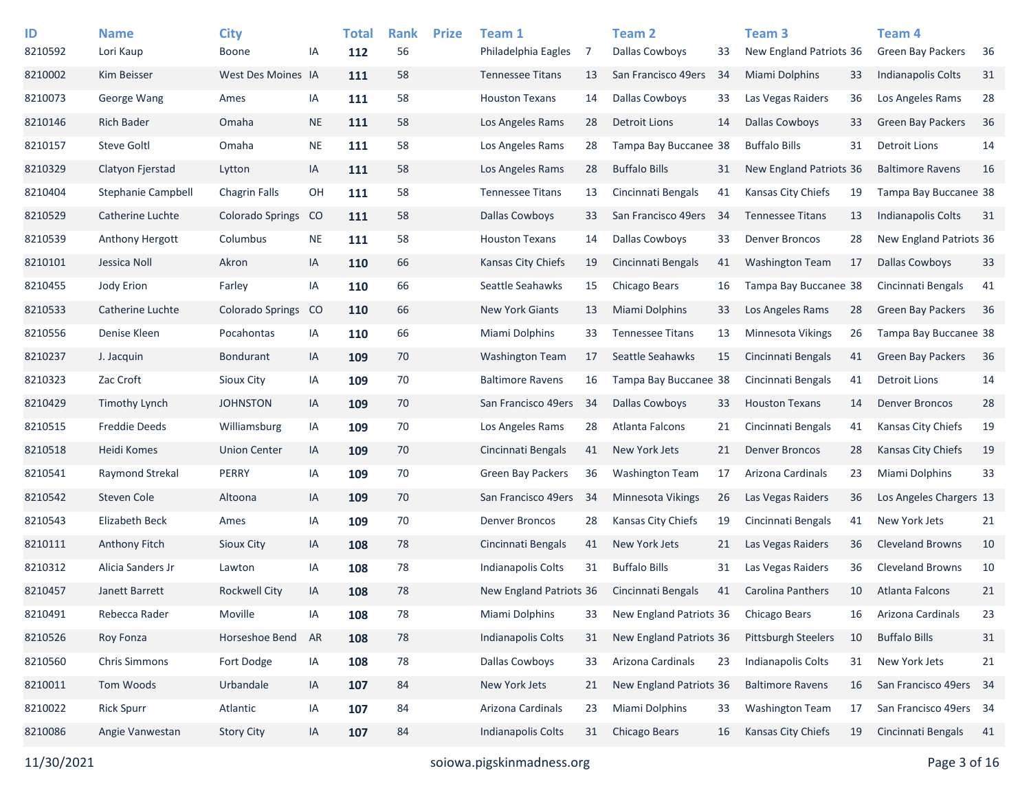| ID<br>8210592 | <b>Name</b><br>Lori Kaup  | <b>City</b><br><b>Boone</b> | ΙA        | <b>Total</b><br>112 | <b>Rank</b><br>56 | <b>Prize</b> | Team 1<br>Philadelphia Eagles | 7   | <b>Team 2</b><br>Dallas Cowboys | 33  | Team <sub>3</sub><br>New England Patriots 36 |    | Team <sub>4</sub><br><b>Green Bay Packers</b> | 36 |
|---------------|---------------------------|-----------------------------|-----------|---------------------|-------------------|--------------|-------------------------------|-----|---------------------------------|-----|----------------------------------------------|----|-----------------------------------------------|----|
| 8210002       | Kim Beisser               | West Des Moines IA          |           | 111                 | 58                |              | <b>Tennessee Titans</b>       | 13  | San Francisco 49ers             | 34  | <b>Miami Dolphins</b>                        | 33 | <b>Indianapolis Colts</b>                     | 31 |
| 8210073       | George Wang               | Ames                        | IA        | 111                 | 58                |              | <b>Houston Texans</b>         | 14  | Dallas Cowboys                  | 33  | Las Vegas Raiders                            | 36 | Los Angeles Rams                              | 28 |
| 8210146       | <b>Rich Bader</b>         | Omaha                       | <b>NE</b> | 111                 | 58                |              | Los Angeles Rams              | 28  | <b>Detroit Lions</b>            | 14  | <b>Dallas Cowboys</b>                        | 33 | <b>Green Bay Packers</b>                      | 36 |
| 8210157       | <b>Steve Goltl</b>        | Omaha                       | <b>NE</b> | 111                 | 58                |              | Los Angeles Rams              | 28  | Tampa Bay Buccanee 38           |     | <b>Buffalo Bills</b>                         | 31 | <b>Detroit Lions</b>                          | 14 |
| 8210329       | Clatyon Fjerstad          | Lytton                      | IA        | 111                 | 58                |              | Los Angeles Rams              | 28  | <b>Buffalo Bills</b>            | 31  | New England Patriots 36                      |    | <b>Baltimore Ravens</b>                       | 16 |
| 8210404       | <b>Stephanie Campbell</b> | <b>Chagrin Falls</b>        | OH        | 111                 | 58                |              | <b>Tennessee Titans</b>       | 13  | Cincinnati Bengals              | 41  | Kansas City Chiefs                           | 19 | Tampa Bay Buccanee 38                         |    |
| 8210529       | Catherine Luchte          | Colorado Springs            | CO        | 111                 | 58                |              | <b>Dallas Cowboys</b>         | 33  | San Francisco 49ers             | -34 | <b>Tennessee Titans</b>                      | 13 | <b>Indianapolis Colts</b>                     | 31 |
| 8210539       | Anthony Hergott           | Columbus                    | <b>NE</b> | 111                 | 58                |              | <b>Houston Texans</b>         | 14  | <b>Dallas Cowboys</b>           | 33  | <b>Denver Broncos</b>                        | 28 | New England Patriots 36                       |    |
| 8210101       | Jessica Noll              | Akron                       | IA        | 110                 | 66                |              | Kansas City Chiefs            | 19  | Cincinnati Bengals              | 41  | <b>Washington Team</b>                       | 17 | <b>Dallas Cowboys</b>                         | 33 |
| 8210455       | Jody Erion                | Farley                      | IA        | 110                 | 66                |              | Seattle Seahawks              | 15  | Chicago Bears                   | 16  | Tampa Bay Buccanee 38                        |    | Cincinnati Bengals                            | 41 |
| 8210533       | Catherine Luchte          | <b>Colorado Springs</b>     | CO        | 110                 | 66                |              | <b>New York Giants</b>        | 13  | Miami Dolphins                  | 33  | Los Angeles Rams                             | 28 | <b>Green Bay Packers</b>                      | 36 |
| 8210556       | Denise Kleen              | Pocahontas                  | IA        | 110                 | 66                |              | Miami Dolphins                | 33  | <b>Tennessee Titans</b>         | 13  | Minnesota Vikings                            | 26 | Tampa Bay Buccanee 38                         |    |
| 8210237       | J. Jacquin                | <b>Bondurant</b>            | IA        | 109                 | 70                |              | <b>Washington Team</b>        | 17  | Seattle Seahawks                | 15  | Cincinnati Bengals                           | 41 | <b>Green Bay Packers</b>                      | 36 |
| 8210323       | Zac Croft                 | Sioux City                  | IA        | 109                 | 70                |              | <b>Baltimore Ravens</b>       | 16  | Tampa Bay Buccanee 38           |     | Cincinnati Bengals                           | 41 | <b>Detroit Lions</b>                          | 14 |
| 8210429       | Timothy Lynch             | <b>JOHNSTON</b>             | IA        | 109                 | 70                |              | San Francisco 49ers           | -34 | <b>Dallas Cowboys</b>           | 33  | <b>Houston Texans</b>                        | 14 | <b>Denver Broncos</b>                         | 28 |
| 8210515       | <b>Freddie Deeds</b>      | Williamsburg                | IA        | 109                 | 70                |              | Los Angeles Rams              | 28  | Atlanta Falcons                 | 21  | Cincinnati Bengals                           | 41 | Kansas City Chiefs                            | 19 |
| 8210518       | Heidi Komes               | <b>Union Center</b>         | IA        | 109                 | 70                |              | Cincinnati Bengals            | 41  | New York Jets                   | 21  | <b>Denver Broncos</b>                        | 28 | Kansas City Chiefs                            | 19 |
| 8210541       | Raymond Strekal           | PERRY                       | IA        | 109                 | 70                |              | <b>Green Bay Packers</b>      | 36  | <b>Washington Team</b>          | 17  | Arizona Cardinals                            | 23 | Miami Dolphins                                | 33 |
| 8210542       | Steven Cole               | Altoona                     | IA        | 109                 | 70                |              | San Francisco 49ers           | -34 | <b>Minnesota Vikings</b>        | 26  | Las Vegas Raiders                            | 36 | Los Angeles Chargers 13                       |    |
| 8210543       | Elizabeth Beck            | Ames                        | IA        | 109                 | 70                |              | <b>Denver Broncos</b>         | 28  | Kansas City Chiefs              | 19  | Cincinnati Bengals                           | 41 | New York Jets                                 | 21 |
| 8210111       | <b>Anthony Fitch</b>      | Sioux City                  | IA        | 108                 | 78                |              | Cincinnati Bengals            | 41  | New York Jets                   | 21  | Las Vegas Raiders                            | 36 | <b>Cleveland Browns</b>                       | 10 |
| 8210312       | Alicia Sanders Jr         | Lawton                      | IA        | 108                 | 78                |              | <b>Indianapolis Colts</b>     | 31  | <b>Buffalo Bills</b>            | 31  | Las Vegas Raiders                            | 36 | <b>Cleveland Browns</b>                       | 10 |
| 8210457       | Janett Barrett            | Rockwell City               | IA        | 108                 | 78                |              | New England Patriots 36       |     | Cincinnati Bengals              | 41  | <b>Carolina Panthers</b>                     | 10 | <b>Atlanta Falcons</b>                        | 21 |
| 8210491       | Rebecca Rader             | Moville                     | IA        | 108                 | 78                |              | Miami Dolphins                | 33  | New England Patriots 36         |     | Chicago Bears                                | 16 | Arizona Cardinals                             | 23 |
| 8210526       | Roy Fonza                 | Horseshoe Bend              | AR        | 108                 | 78                |              | <b>Indianapolis Colts</b>     | 31  | New England Patriots 36         |     | Pittsburgh Steelers                          | 10 | <b>Buffalo Bills</b>                          | 31 |
| 8210560       | <b>Chris Simmons</b>      | Fort Dodge                  | IA        | 108                 | 78                |              | Dallas Cowboys                | 33  | Arizona Cardinals               | 23  | Indianapolis Colts                           | 31 | New York Jets                                 | 21 |
| 8210011       | Tom Woods                 | Urbandale                   | IA        | 107                 | 84                |              | New York Jets                 | 21  | New England Patriots 36         |     | <b>Baltimore Ravens</b>                      | 16 | San Francisco 49ers 34                        |    |
| 8210022       | <b>Rick Spurr</b>         | Atlantic                    | IA        | 107                 | 84                |              | Arizona Cardinals             | 23  | Miami Dolphins                  | 33  | <b>Washington Team</b>                       | 17 | San Francisco 49ers 34                        |    |
| 8210086       | Angie Vanwestan           | <b>Story City</b>           | IA        | 107                 | 84                |              | <b>Indianapolis Colts</b>     | 31  | Chicago Bears                   | 16  | Kansas City Chiefs                           | 19 | Cincinnati Bengals                            | 41 |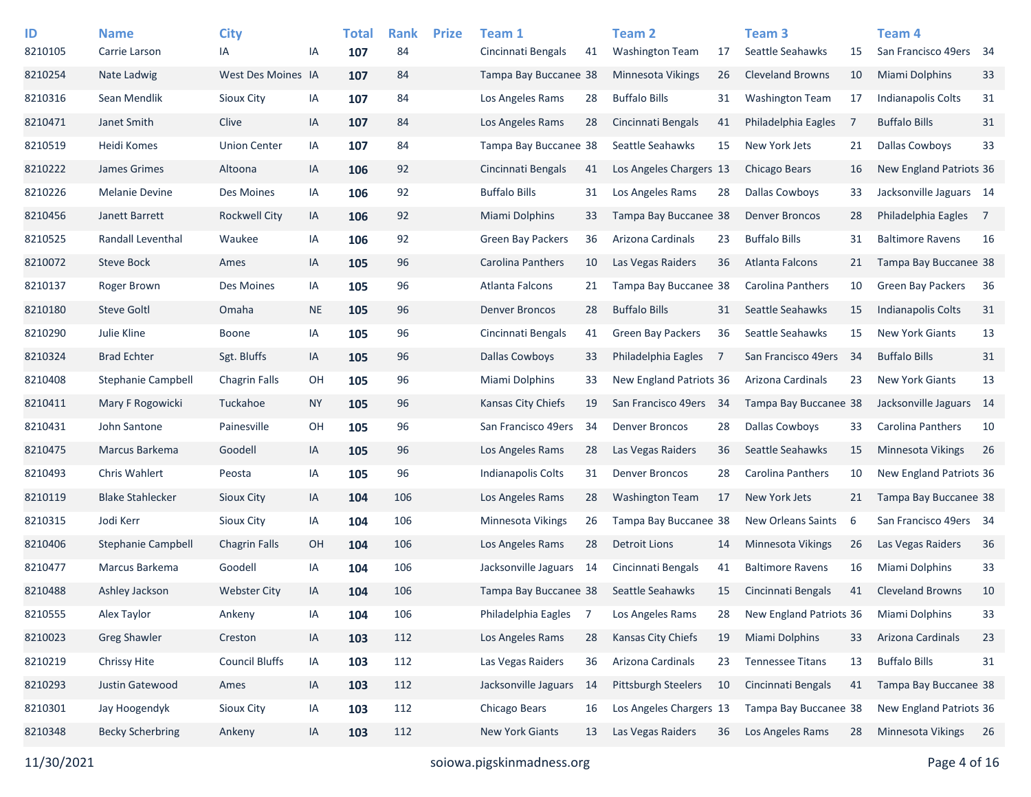| ID      | <b>Name</b>               | <b>City</b>           |           | <b>Total</b> | <b>Rank</b> | <b>Prize</b> | Team 1                    |     | <b>Team 2</b>            |    | Team <sub>3</sub>       |     | Team 4                    |                |
|---------|---------------------------|-----------------------|-----------|--------------|-------------|--------------|---------------------------|-----|--------------------------|----|-------------------------|-----|---------------------------|----------------|
| 8210105 | Carrie Larson             | IA                    | IA        | 107          | 84          |              | Cincinnati Bengals        | 41  | <b>Washington Team</b>   | 17 | Seattle Seahawks        | 15  | San Francisco 49ers 34    |                |
| 8210254 | Nate Ladwig               | West Des Moines IA    |           | 107          | 84          |              | Tampa Bay Buccanee 38     |     | Minnesota Vikings        | 26 | <b>Cleveland Browns</b> | 10  | <b>Miami Dolphins</b>     | 33             |
| 8210316 | Sean Mendlik              | Sioux City            | IA        | 107          | 84          |              | Los Angeles Rams          | 28  | <b>Buffalo Bills</b>     | 31 | <b>Washington Team</b>  | 17  | <b>Indianapolis Colts</b> | 31             |
| 8210471 | Janet Smith               | Clive                 | IA        | 107          | 84          |              | Los Angeles Rams          | 28  | Cincinnati Bengals       | 41 | Philadelphia Eagles     | - 7 | <b>Buffalo Bills</b>      | 31             |
| 8210519 | Heidi Komes               | <b>Union Center</b>   | IA        | 107          | 84          |              | Tampa Bay Buccanee 38     |     | Seattle Seahawks         | 15 | New York Jets           | 21  | <b>Dallas Cowboys</b>     | 33             |
| 8210222 | James Grimes              | Altoona               | IA        | 106          | 92          |              | Cincinnati Bengals        | 41  | Los Angeles Chargers 13  |    | Chicago Bears           | 16  | New England Patriots 36   |                |
| 8210226 | <b>Melanie Devine</b>     | Des Moines            | IA        | 106          | 92          |              | <b>Buffalo Bills</b>      | 31  | Los Angeles Rams         | 28 | <b>Dallas Cowboys</b>   | 33  | Jacksonville Jaguars 14   |                |
| 8210456 | Janett Barrett            | <b>Rockwell City</b>  | IA        | 106          | 92          |              | Miami Dolphins            | 33  | Tampa Bay Buccanee 38    |    | <b>Denver Broncos</b>   | 28  | Philadelphia Eagles       | $\overline{7}$ |
| 8210525 | Randall Leventhal         | Waukee                | IA        | 106          | 92          |              | <b>Green Bay Packers</b>  | 36  | Arizona Cardinals        | 23 | <b>Buffalo Bills</b>    | 31  | <b>Baltimore Ravens</b>   | 16             |
| 8210072 | <b>Steve Bock</b>         | Ames                  | IA        | 105          | 96          |              | Carolina Panthers         | 10  | Las Vegas Raiders        | 36 | <b>Atlanta Falcons</b>  | 21  | Tampa Bay Buccanee 38     |                |
| 8210137 | Roger Brown               | Des Moines            | IA        | 105          | 96          |              | Atlanta Falcons           | 21  | Tampa Bay Buccanee 38    |    | Carolina Panthers       | 10  | <b>Green Bay Packers</b>  | 36             |
| 8210180 | <b>Steve Goltl</b>        | Omaha                 | <b>NE</b> | 105          | 96          |              | <b>Denver Broncos</b>     | 28  | <b>Buffalo Bills</b>     | 31 | Seattle Seahawks        | 15  | Indianapolis Colts        | 31             |
| 8210290 | Julie Kline               | <b>Boone</b>          | IA        | 105          | 96          |              | Cincinnati Bengals        | 41  | <b>Green Bay Packers</b> | 36 | Seattle Seahawks        | 15  | <b>New York Giants</b>    | 13             |
| 8210324 | <b>Brad Echter</b>        | Sgt. Bluffs           | IA        | 105          | 96          |              | Dallas Cowboys            | 33  | Philadelphia Eagles      | 7  | San Francisco 49ers     | -34 | <b>Buffalo Bills</b>      | 31             |
| 8210408 | <b>Stephanie Campbell</b> | <b>Chagrin Falls</b>  | OH        | 105          | 96          |              | Miami Dolphins            | 33  | New England Patriots 36  |    | Arizona Cardinals       | 23  | <b>New York Giants</b>    | 13             |
| 8210411 | Mary F Rogowicki          | Tuckahoe              | <b>NY</b> | 105          | 96          |              | Kansas City Chiefs        | 19  | San Francisco 49ers 34   |    | Tampa Bay Buccanee 38   |     | Jacksonville Jaguars 14   |                |
| 8210431 | John Santone              | Painesville           | OH        | 105          | 96          |              | San Francisco 49ers       | 34  | <b>Denver Broncos</b>    | 28 | <b>Dallas Cowboys</b>   | 33  | <b>Carolina Panthers</b>  | 10             |
| 8210475 | Marcus Barkema            | Goodell               | IA        | 105          | 96          |              | Los Angeles Rams          | 28  | Las Vegas Raiders        | 36 | Seattle Seahawks        | 15  | <b>Minnesota Vikings</b>  | 26             |
| 8210493 | Chris Wahlert             | Peosta                | IA        | 105          | 96          |              | <b>Indianapolis Colts</b> | 31  | <b>Denver Broncos</b>    | 28 | Carolina Panthers       | 10  | New England Patriots 36   |                |
| 8210119 | <b>Blake Stahlecker</b>   | Sioux City            | IA        | 104          | 106         |              | Los Angeles Rams          | 28  | <b>Washington Team</b>   | 17 | New York Jets           | 21  | Tampa Bay Buccanee 38     |                |
| 8210315 | Jodi Kerr                 | Sioux City            | IA        | 104          | 106         |              | Minnesota Vikings         | 26  | Tampa Bay Buccanee 38    |    | New Orleans Saints      | -6  | San Francisco 49ers 34    |                |
| 8210406 | Stephanie Campbell        | <b>Chagrin Falls</b>  | OH        | 104          | 106         |              | Los Angeles Rams          | 28  | <b>Detroit Lions</b>     | 14 | Minnesota Vikings       | 26  | Las Vegas Raiders         | 36             |
| 8210477 | Marcus Barkema            | Goodell               | IA        | 104          | 106         |              | Jacksonville Jaguars      | 14  | Cincinnati Bengals       | 41 | <b>Baltimore Ravens</b> | 16  | Miami Dolphins            | 33             |
| 8210488 | Ashley Jackson            | <b>Webster City</b>   | IA        | 104          | 106         |              | Tampa Bay Buccanee 38     |     | Seattle Seahawks         | 15 | Cincinnati Bengals      | 41  | <b>Cleveland Browns</b>   | 10             |
| 8210555 | Alex Taylor               | Ankeny                | IA        | 104          | 106         |              | Philadelphia Eagles       | 7   | Los Angeles Rams         | 28 | New England Patriots 36 |     | <b>Miami Dolphins</b>     | 33             |
| 8210023 | <b>Greg Shawler</b>       | Creston               | IA        | 103          | 112         |              | Los Angeles Rams          | 28  | Kansas City Chiefs       | 19 | Miami Dolphins          | 33  | Arizona Cardinals         | 23             |
| 8210219 | Chrissy Hite              | <b>Council Bluffs</b> | IA        | 103          | 112         |              | Las Vegas Raiders         | 36  | Arizona Cardinals        | 23 | <b>Tennessee Titans</b> | 13  | <b>Buffalo Bills</b>      | 31             |
| 8210293 | Justin Gatewood           | Ames                  | IA        | 103          | 112         |              | Jacksonville Jaguars      | -14 | Pittsburgh Steelers      | 10 | Cincinnati Bengals      | 41  | Tampa Bay Buccanee 38     |                |
| 8210301 | Jay Hoogendyk             | Sioux City            | IA        | 103          | 112         |              | Chicago Bears             | 16  | Los Angeles Chargers 13  |    | Tampa Bay Buccanee 38   |     | New England Patriots 36   |                |
| 8210348 | <b>Becky Scherbring</b>   | Ankeny                | IA        | 103          | 112         |              | New York Giants           | 13  | Las Vegas Raiders        | 36 | Los Angeles Rams        | 28  | Minnesota Vikings         | 26             |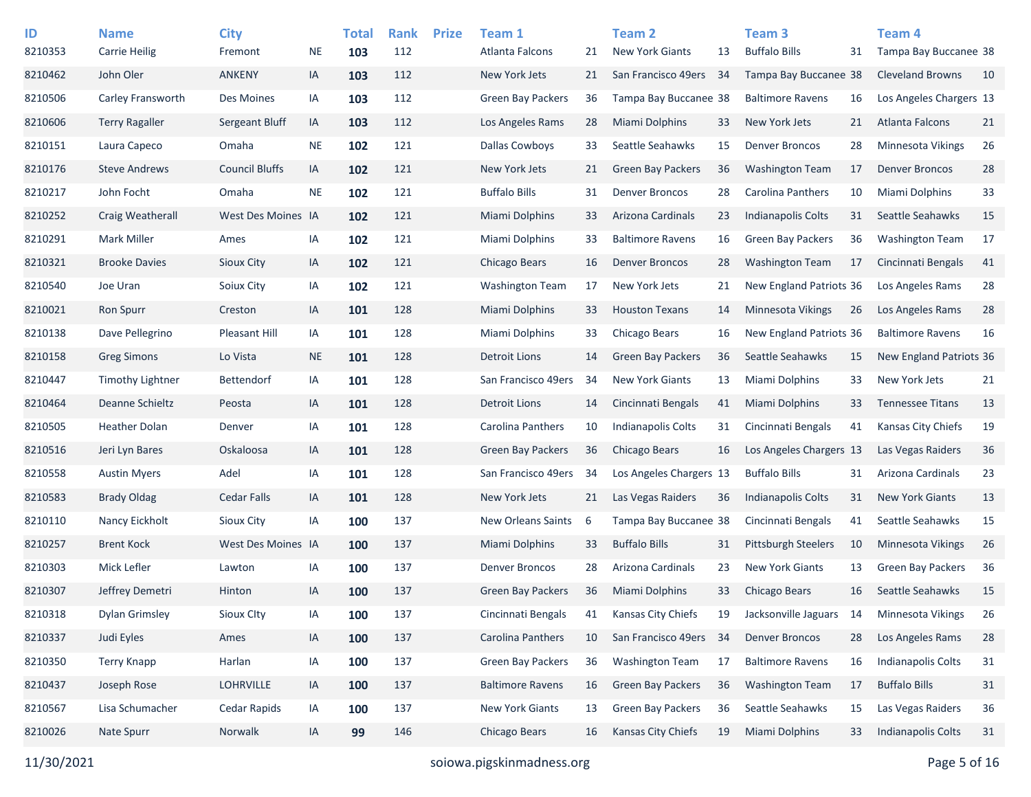| ID<br>8210353 | <b>Name</b><br><b>Carrie Heilig</b> | <b>City</b><br>Fremont | <b>NE</b> | <b>Total</b><br>103 | <b>Rank</b><br>112 | <b>Prize</b> | Team 1<br>Atlanta Falcons | 21 | Team <sub>2</sub><br><b>New York Giants</b> | 13 | Team <sub>3</sub><br><b>Buffalo Bills</b> | 31 | Team 4<br>Tampa Bay Buccanee 38 |    |
|---------------|-------------------------------------|------------------------|-----------|---------------------|--------------------|--------------|---------------------------|----|---------------------------------------------|----|-------------------------------------------|----|---------------------------------|----|
| 8210462       | John Oler                           | <b>ANKENY</b>          | IA        | 103                 | 112                |              | New York Jets             | 21 | San Francisco 49ers 34                      |    | Tampa Bay Buccanee 38                     |    | <b>Cleveland Browns</b>         | 10 |
| 8210506       | Carley Fransworth                   | Des Moines             | IA        | 103                 | 112                |              | <b>Green Bay Packers</b>  | 36 | Tampa Bay Buccanee 38                       |    | <b>Baltimore Ravens</b>                   | 16 | Los Angeles Chargers 13         |    |
| 8210606       | <b>Terry Ragaller</b>               | Sergeant Bluff         | IA        | 103                 | 112                |              | Los Angeles Rams          | 28 | <b>Miami Dolphins</b>                       | 33 | New York Jets                             | 21 | Atlanta Falcons                 | 21 |
| 8210151       | Laura Capeco                        | Omaha                  | <b>NE</b> | 102                 | 121                |              | <b>Dallas Cowboys</b>     | 33 | Seattle Seahawks                            | 15 | <b>Denver Broncos</b>                     | 28 | <b>Minnesota Vikings</b>        | 26 |
| 8210176       | <b>Steve Andrews</b>                | <b>Council Bluffs</b>  | IA        | 102                 | 121                |              | New York Jets             | 21 | <b>Green Bay Packers</b>                    | 36 | <b>Washington Team</b>                    | 17 | <b>Denver Broncos</b>           | 28 |
| 8210217       | John Focht                          | Omaha                  | <b>NE</b> | 102                 | 121                |              | <b>Buffalo Bills</b>      | 31 | <b>Denver Broncos</b>                       | 28 | <b>Carolina Panthers</b>                  | 10 | Miami Dolphins                  | 33 |
| 8210252       | Craig Weatherall                    | West Des Moines IA     |           | 102                 | 121                |              | <b>Miami Dolphins</b>     | 33 | Arizona Cardinals                           | 23 | <b>Indianapolis Colts</b>                 | 31 | Seattle Seahawks                | 15 |
| 8210291       | Mark Miller                         | Ames                   | ΙA        | 102                 | 121                |              | Miami Dolphins            | 33 | <b>Baltimore Ravens</b>                     | 16 | <b>Green Bay Packers</b>                  | 36 | <b>Washington Team</b>          | 17 |
| 8210321       | <b>Brooke Davies</b>                | Sioux City             | IA        | 102                 | 121                |              | Chicago Bears             | 16 | <b>Denver Broncos</b>                       | 28 | <b>Washington Team</b>                    | 17 | Cincinnati Bengals              | 41 |
| 8210540       | Joe Uran                            | Soiux City             | ΙA        | 102                 | 121                |              | <b>Washington Team</b>    | 17 | New York Jets                               | 21 | New England Patriots 36                   |    | Los Angeles Rams                | 28 |
| 8210021       | <b>Ron Spurr</b>                    | Creston                | IA        | 101                 | 128                |              | Miami Dolphins            | 33 | <b>Houston Texans</b>                       | 14 | Minnesota Vikings                         | 26 | Los Angeles Rams                | 28 |
| 8210138       | Dave Pellegrino                     | Pleasant Hill          | IA        | 101                 | 128                |              | Miami Dolphins            | 33 | Chicago Bears                               | 16 | New England Patriots 36                   |    | <b>Baltimore Ravens</b>         | 16 |
| 8210158       | <b>Greg Simons</b>                  | Lo Vista               | <b>NE</b> | 101                 | 128                |              | <b>Detroit Lions</b>      | 14 | <b>Green Bay Packers</b>                    | 36 | Seattle Seahawks                          | 15 | New England Patriots 36         |    |
| 8210447       | Timothy Lightner                    | <b>Bettendorf</b>      | IA        | 101                 | 128                |              | San Francisco 49ers       | 34 | <b>New York Giants</b>                      | 13 | Miami Dolphins                            | 33 | New York Jets                   | 21 |
| 8210464       | Deanne Schieltz                     | Peosta                 | IA        | 101                 | 128                |              | <b>Detroit Lions</b>      | 14 | Cincinnati Bengals                          | 41 | <b>Miami Dolphins</b>                     | 33 | <b>Tennessee Titans</b>         | 13 |
| 8210505       | <b>Heather Dolan</b>                | Denver                 | IA        | 101                 | 128                |              | Carolina Panthers         | 10 | <b>Indianapolis Colts</b>                   | 31 | Cincinnati Bengals                        | 41 | Kansas City Chiefs              | 19 |
| 8210516       | Jeri Lyn Bares                      | Oskaloosa              | IA        | 101                 | 128                |              | <b>Green Bay Packers</b>  | 36 | Chicago Bears                               | 16 | Los Angeles Chargers 13                   |    | Las Vegas Raiders               | 36 |
| 8210558       | <b>Austin Myers</b>                 | Adel                   | ΙA        | 101                 | 128                |              | San Francisco 49ers       | 34 | Los Angeles Chargers 13                     |    | <b>Buffalo Bills</b>                      | 31 | Arizona Cardinals               | 23 |
| 8210583       | <b>Brady Oldag</b>                  | Cedar Falls            | IA        | 101                 | 128                |              | New York Jets             | 21 | Las Vegas Raiders                           | 36 | Indianapolis Colts                        | 31 | <b>New York Giants</b>          | 13 |
| 8210110       | Nancy Eickholt                      | Sioux City             | IA        | 100                 | 137                |              | New Orleans Saints        | 6  | Tampa Bay Buccanee 38                       |    | Cincinnati Bengals                        | 41 | Seattle Seahawks                | 15 |
| 8210257       | <b>Brent Kock</b>                   | West Des Moines IA     |           | 100                 | 137                |              | <b>Miami Dolphins</b>     | 33 | <b>Buffalo Bills</b>                        | 31 | <b>Pittsburgh Steelers</b>                | 10 | <b>Minnesota Vikings</b>        | 26 |
| 8210303       | Mick Lefler                         | Lawton                 | ΙA        | 100                 | 137                |              | <b>Denver Broncos</b>     | 28 | Arizona Cardinals                           | 23 | <b>New York Giants</b>                    | 13 | <b>Green Bay Packers</b>        | 36 |
| 8210307       | Jeffrey Demetri                     | Hinton                 | IA        | 100                 | 137                |              | <b>Green Bay Packers</b>  | 36 | <b>Miami Dolphins</b>                       | 33 | Chicago Bears                             | 16 | Seattle Seahawks                | 15 |
| 8210318       | <b>Dylan Grimsley</b>               | Sioux Clty             | ΙA        | 100                 | 137                |              | Cincinnati Bengals        | 41 | Kansas City Chiefs                          | 19 | Jacksonville Jaguars                      | 14 | Minnesota Vikings               | 26 |
| 8210337       | Judi Eyles                          | Ames                   | IA        | 100                 | 137                |              | Carolina Panthers         | 10 | San Francisco 49ers 34                      |    | <b>Denver Broncos</b>                     | 28 | Los Angeles Rams                | 28 |
| 8210350       | <b>Terry Knapp</b>                  | Harlan                 | IA        | 100                 | 137                |              | Green Bay Packers         | 36 | <b>Washington Team</b>                      | 17 | <b>Baltimore Ravens</b>                   | 16 | Indianapolis Colts              | 31 |
| 8210437       | Joseph Rose                         | LOHRVILLE              | IA        | 100                 | 137                |              | <b>Baltimore Ravens</b>   | 16 | <b>Green Bay Packers</b>                    | 36 | <b>Washington Team</b>                    | 17 | <b>Buffalo Bills</b>            | 31 |
| 8210567       | Lisa Schumacher                     | Cedar Rapids           | IA        | 100                 | 137                |              | New York Giants           | 13 | Green Bay Packers                           | 36 | Seattle Seahawks                          | 15 | Las Vegas Raiders               | 36 |
| 8210026       | Nate Spurr                          | Norwalk                | IA        | 99                  | 146                |              | Chicago Bears             | 16 | Kansas City Chiefs                          | 19 | Miami Dolphins                            | 33 | Indianapolis Colts              | 31 |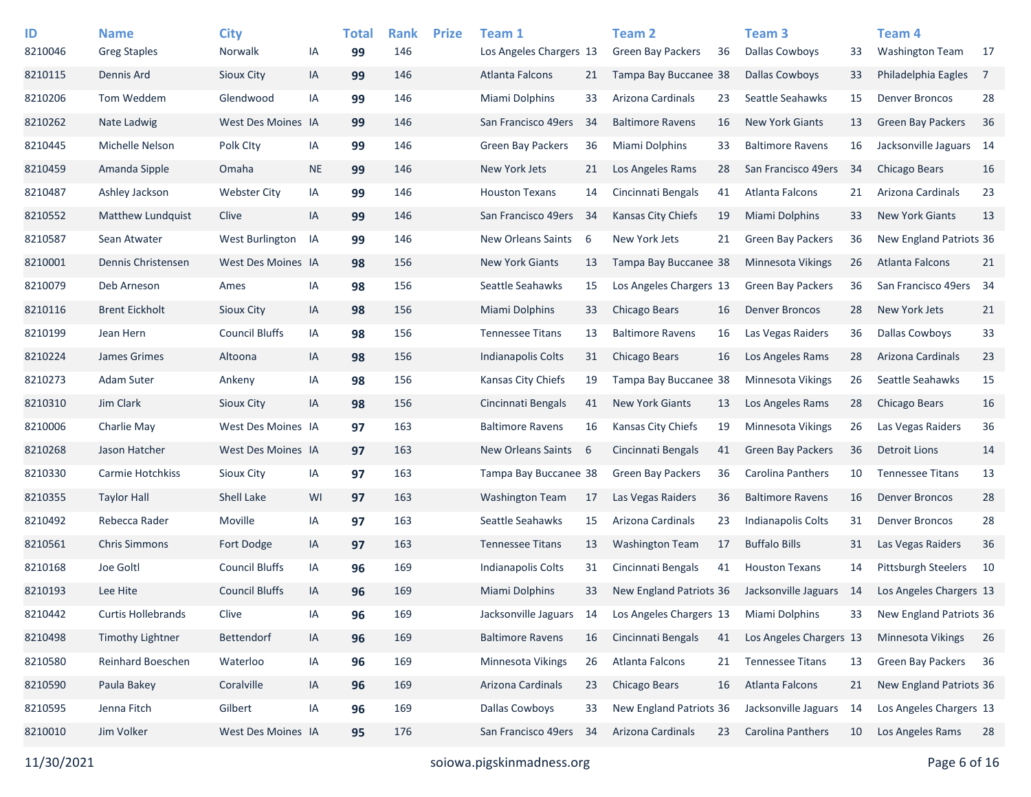| ID<br>8210046 | <b>Name</b><br><b>Greg Staples</b> | <b>City</b><br>Norwalk | ΙA        | <b>Total</b><br>99 | <b>Rank</b><br>146 | <b>Prize</b> | Team 1<br>Los Angeles Chargers 13 |     | Team <sub>2</sub><br><b>Green Bay Packers</b> | 36 | Team <sub>3</sub><br><b>Dallas Cowboys</b> | 33   | Team <sub>4</sub><br><b>Washington Team</b> | 17             |
|---------------|------------------------------------|------------------------|-----------|--------------------|--------------------|--------------|-----------------------------------|-----|-----------------------------------------------|----|--------------------------------------------|------|---------------------------------------------|----------------|
| 8210115       | Dennis Ard                         | Sioux City             | IA        | 99                 | 146                |              | <b>Atlanta Falcons</b>            | 21  | Tampa Bay Buccanee 38                         |    | <b>Dallas Cowboys</b>                      | 33   | Philadelphia Eagles                         | $\overline{7}$ |
| 8210206       | Tom Weddem                         | Glendwood              | IA        | 99                 | 146                |              | Miami Dolphins                    | 33  | Arizona Cardinals                             | 23 | Seattle Seahawks                           | 15   | <b>Denver Broncos</b>                       | 28             |
| 8210262       | Nate Ladwig                        | West Des Moines IA     |           | 99                 | 146                |              | San Francisco 49ers               | 34  | <b>Baltimore Ravens</b>                       | 16 | <b>New York Giants</b>                     | 13   | <b>Green Bay Packers</b>                    | 36             |
| 8210445       | Michelle Nelson                    | Polk Clty              | IA        | 99                 | 146                |              | <b>Green Bay Packers</b>          | 36  | Miami Dolphins                                | 33 | <b>Baltimore Ravens</b>                    | 16   | Jacksonville Jaguars 14                     |                |
| 8210459       | Amanda Sipple                      | Omaha                  | <b>NE</b> | 99                 | 146                |              | New York Jets                     | 21  | Los Angeles Rams                              | 28 | San Francisco 49ers                        | 34   | Chicago Bears                               | 16             |
| 8210487       | Ashley Jackson                     | <b>Webster City</b>    | IA        | 99                 | 146                |              | <b>Houston Texans</b>             | 14  | Cincinnati Bengals                            | 41 | Atlanta Falcons                            | 21   | Arizona Cardinals                           | 23             |
| 8210552       | Matthew Lundquist                  | Clive                  | IA        | 99                 | 146                |              | San Francisco 49ers               | -34 | <b>Kansas City Chiefs</b>                     | 19 | Miami Dolphins                             | 33   | <b>New York Giants</b>                      | 13             |
| 8210587       | Sean Atwater                       | West Burlington        | IA        | 99                 | 146                |              | New Orleans Saints                | 6   | New York Jets                                 | 21 | <b>Green Bay Packers</b>                   | 36   | New England Patriots 36                     |                |
| 8210001       | Dennis Christensen                 | West Des Moines IA     |           | 98                 | 156                |              | <b>New York Giants</b>            | 13  | Tampa Bay Buccanee 38                         |    | <b>Minnesota Vikings</b>                   | 26   | <b>Atlanta Falcons</b>                      | 21             |
| 8210079       | Deb Arneson                        | Ames                   | IA        | 98                 | 156                |              | Seattle Seahawks                  | 15  | Los Angeles Chargers 13                       |    | <b>Green Bay Packers</b>                   | 36   | San Francisco 49ers                         | 34             |
| 8210116       | <b>Brent Eickholt</b>              | Sioux City             | IA        | 98                 | 156                |              | Miami Dolphins                    | 33  | Chicago Bears                                 | 16 | <b>Denver Broncos</b>                      | 28   | New York Jets                               | 21             |
| 8210199       | Jean Hern                          | <b>Council Bluffs</b>  | IA        | 98                 | 156                |              | <b>Tennessee Titans</b>           | 13  | <b>Baltimore Ravens</b>                       | 16 | Las Vegas Raiders                          | 36   | <b>Dallas Cowboys</b>                       | 33             |
| 8210224       | James Grimes                       | Altoona                | IA        | 98                 | 156                |              | Indianapolis Colts                | 31  | Chicago Bears                                 | 16 | Los Angeles Rams                           | 28   | Arizona Cardinals                           | 23             |
| 8210273       | Adam Suter                         | Ankeny                 | IA        | 98                 | 156                |              | Kansas City Chiefs                | 19  | Tampa Bay Buccanee 38                         |    | <b>Minnesota Vikings</b>                   | 26   | Seattle Seahawks                            | 15             |
| 8210310       | Jim Clark                          | Sioux City             | IA        | 98                 | 156                |              | Cincinnati Bengals                | 41  | <b>New York Giants</b>                        | 13 | Los Angeles Rams                           | 28   | <b>Chicago Bears</b>                        | 16             |
| 8210006       | Charlie May                        | West Des Moines IA     |           | 97                 | 163                |              | <b>Baltimore Ravens</b>           | 16  | Kansas City Chiefs                            | 19 | Minnesota Vikings                          | 26   | Las Vegas Raiders                           | 36             |
| 8210268       | Jason Hatcher                      | West Des Moines IA     |           | 97                 | 163                |              | New Orleans Saints                | 6   | Cincinnati Bengals                            | 41 | <b>Green Bay Packers</b>                   | 36   | <b>Detroit Lions</b>                        | 14             |
| 8210330       | Carmie Hotchkiss                   | Sioux City             | IA        | 97                 | 163                |              | Tampa Bay Buccanee 38             |     | <b>Green Bay Packers</b>                      | 36 | <b>Carolina Panthers</b>                   | 10   | <b>Tennessee Titans</b>                     | 13             |
| 8210355       | <b>Taylor Hall</b>                 | Shell Lake             | WI        | 97                 | 163                |              | <b>Washington Team</b>            | 17  | Las Vegas Raiders                             | 36 | <b>Baltimore Ravens</b>                    | 16   | <b>Denver Broncos</b>                       | 28             |
| 8210492       | Rebecca Rader                      | Moville                | IA        | 97                 | 163                |              | Seattle Seahawks                  | 15  | Arizona Cardinals                             | 23 | <b>Indianapolis Colts</b>                  | 31   | <b>Denver Broncos</b>                       | 28             |
| 8210561       | <b>Chris Simmons</b>               | Fort Dodge             | IA        | 97                 | 163                |              | <b>Tennessee Titans</b>           | 13  | <b>Washington Team</b>                        | 17 | <b>Buffalo Bills</b>                       | 31   | Las Vegas Raiders                           | 36             |
| 8210168       | Joe Goltl                          | <b>Council Bluffs</b>  | IA        | 96                 | 169                |              | Indianapolis Colts                | 31  | Cincinnati Bengals                            | 41 | <b>Houston Texans</b>                      | 14   | <b>Pittsburgh Steelers</b>                  | 10             |
| 8210193       | Lee Hite                           | <b>Council Bluffs</b>  | IA        | 96                 | 169                |              | <b>Miami Dolphins</b>             | 33  | New England Patriots 36                       |    | Jacksonville Jaguars                       | - 14 | Los Angeles Chargers 13                     |                |
| 8210442       | <b>Curtis Hollebrands</b>          | Clive                  | IA        | 96                 | 169                |              | Jacksonville Jaguars              | 14  | Los Angeles Chargers 13                       |    | Miami Dolphins                             | 33   | New England Patriots 36                     |                |
| 8210498       | <b>Timothy Lightner</b>            | Bettendorf             | IA        | 96                 | 169                |              | <b>Baltimore Ravens</b>           | 16  | Cincinnati Bengals                            | 41 | Los Angeles Chargers 13                    |      | Minnesota Vikings                           | 26             |
| 8210580       | Reinhard Boeschen                  | Waterloo               | IA        | 96                 | 169                |              | Minnesota Vikings                 | 26  | Atlanta Falcons                               | 21 | <b>Tennessee Titans</b>                    | 13   | Green Bay Packers                           | 36             |
| 8210590       | Paula Bakey                        | Coralville             | IA        | 96                 | 169                |              | Arizona Cardinals                 | 23  | Chicago Bears                                 | 16 | Atlanta Falcons                            | 21   | New England Patriots 36                     |                |
| 8210595       | Jenna Fitch                        | Gilbert                | IA        | 96                 | 169                |              | Dallas Cowboys                    | 33  | New England Patriots 36                       |    | Jacksonville Jaguars 14                    |      | Los Angeles Chargers 13                     |                |
| 8210010       | Jim Volker                         | West Des Moines IA     |           | 95                 | 176                |              | San Francisco 49ers               | -34 | Arizona Cardinals                             | 23 | Carolina Panthers                          | 10   | Los Angeles Rams                            | 28             |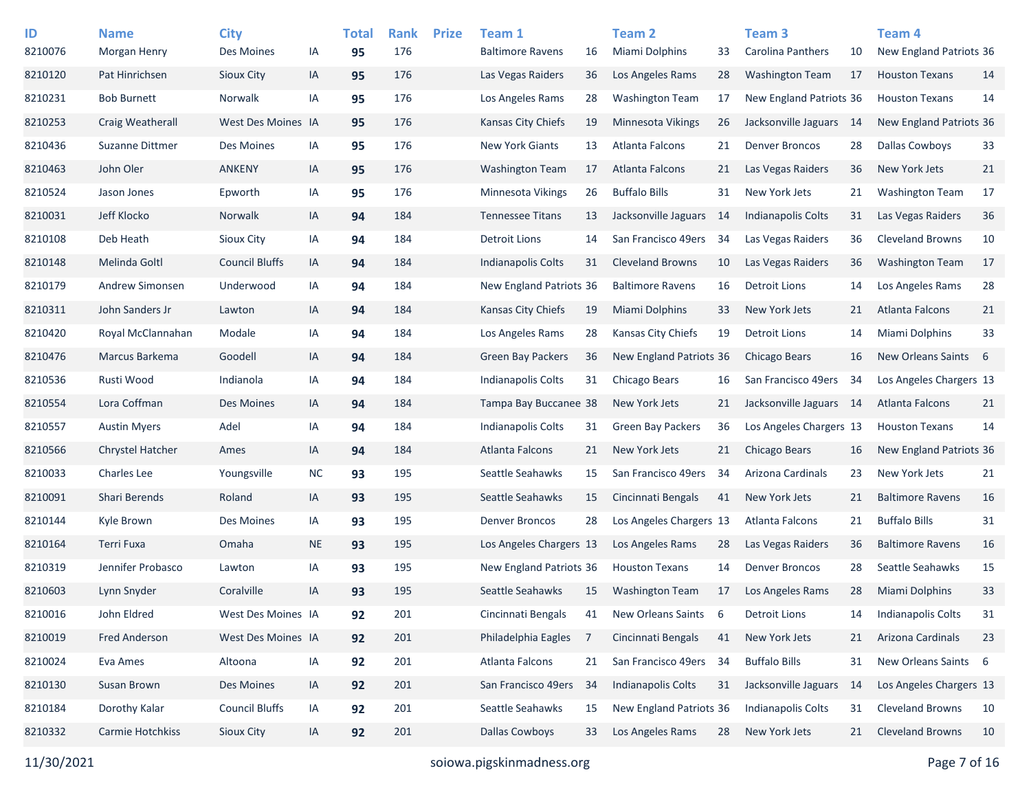| ID<br>8210076 | <b>Name</b><br>Morgan Henry | <b>City</b><br>Des Moines | IA        | <b>Total</b><br>95 | <b>Rank</b><br>176 | <b>Prize</b> | Team 1<br><b>Baltimore Ravens</b> | 16  | <b>Team 2</b><br>Miami Dolphins | 33 | Team <sub>3</sub><br><b>Carolina Panthers</b> | 10   | Team <sub>4</sub><br>New England Patriots 36 |     |
|---------------|-----------------------------|---------------------------|-----------|--------------------|--------------------|--------------|-----------------------------------|-----|---------------------------------|----|-----------------------------------------------|------|----------------------------------------------|-----|
| 8210120       | Pat Hinrichsen              | Sioux City                | IA        | 95                 | 176                |              | Las Vegas Raiders                 | 36  | Los Angeles Rams                | 28 | <b>Washington Team</b>                        | 17   | <b>Houston Texans</b>                        | 14  |
| 8210231       | <b>Bob Burnett</b>          | Norwalk                   | IA        | 95                 | 176                |              | Los Angeles Rams                  | 28  | <b>Washington Team</b>          | 17 | New England Patriots 36                       |      | <b>Houston Texans</b>                        | 14  |
| 8210253       | Craig Weatherall            | West Des Moines IA        |           | 95                 | 176                |              | Kansas City Chiefs                | 19  | Minnesota Vikings               | 26 | Jacksonville Jaguars                          | - 14 | New England Patriots 36                      |     |
| 8210436       | Suzanne Dittmer             | Des Moines                | IA        | 95                 | 176                |              | New York Giants                   | 13  | Atlanta Falcons                 | 21 | <b>Denver Broncos</b>                         | 28   | <b>Dallas Cowboys</b>                        | 33  |
| 8210463       | John Oler                   | <b>ANKENY</b>             | IA        | 95                 | 176                |              | <b>Washington Team</b>            | 17  | Atlanta Falcons                 | 21 | Las Vegas Raiders                             | 36   | New York Jets                                | 21  |
| 8210524       | Jason Jones                 | Epworth                   | IA        | 95                 | 176                |              | <b>Minnesota Vikings</b>          | 26  | <b>Buffalo Bills</b>            | 31 | New York Jets                                 | 21   | <b>Washington Team</b>                       | 17  |
| 8210031       | Jeff Klocko                 | Norwalk                   | IA        | 94                 | 184                |              | <b>Tennessee Titans</b>           | 13  | Jacksonville Jaguars            | 14 | Indianapolis Colts                            | 31   | Las Vegas Raiders                            | 36  |
| 8210108       | Deb Heath                   | Sioux City                | IA        | 94                 | 184                |              | <b>Detroit Lions</b>              | 14  | San Francisco 49ers             | 34 | Las Vegas Raiders                             | 36   | <b>Cleveland Browns</b>                      | 10  |
| 8210148       | Melinda Goltl               | <b>Council Bluffs</b>     | IA        | 94                 | 184                |              | Indianapolis Colts                | 31  | <b>Cleveland Browns</b>         | 10 | Las Vegas Raiders                             | 36   | <b>Washington Team</b>                       | 17  |
| 8210179       | Andrew Simonsen             | Underwood                 | IA        | 94                 | 184                |              | New England Patriots 36           |     | <b>Baltimore Ravens</b>         | 16 | <b>Detroit Lions</b>                          | 14   | Los Angeles Rams                             | 28  |
| 8210311       | John Sanders Jr             | Lawton                    | IA        | 94                 | 184                |              | Kansas City Chiefs                | 19  | <b>Miami Dolphins</b>           | 33 | New York Jets                                 | 21   | Atlanta Falcons                              | 21  |
| 8210420       | Royal McClannahan           | Modale                    | IA        | 94                 | 184                |              | Los Angeles Rams                  | 28  | Kansas City Chiefs              | 19 | Detroit Lions                                 | 14   | Miami Dolphins                               | 33  |
| 8210476       | Marcus Barkema              | Goodell                   | IA        | 94                 | 184                |              | <b>Green Bay Packers</b>          | 36  | New England Patriots 36         |    | Chicago Bears                                 | 16   | <b>New Orleans Saints</b>                    | - 6 |
| 8210536       | Rusti Wood                  | Indianola                 | IA        | 94                 | 184                |              | Indianapolis Colts                | 31  | Chicago Bears                   | 16 | San Francisco 49ers                           | 34   | Los Angeles Chargers 13                      |     |
| 8210554       | Lora Coffman                | Des Moines                | IA        | 94                 | 184                |              | Tampa Bay Buccanee 38             |     | New York Jets                   | 21 | Jacksonville Jaguars 14                       |      | Atlanta Falcons                              | 21  |
| 8210557       | <b>Austin Myers</b>         | Adel                      | IA        | 94                 | 184                |              | Indianapolis Colts                | 31  | Green Bay Packers               | 36 | Los Angeles Chargers 13                       |      | <b>Houston Texans</b>                        | 14  |
| 8210566       | Chrystel Hatcher            | Ames                      | IA        | 94                 | 184                |              | <b>Atlanta Falcons</b>            | 21  | New York Jets                   | 21 | Chicago Bears                                 | 16   | New England Patriots 36                      |     |
| 8210033       | <b>Charles Lee</b>          | Youngsville               | <b>NC</b> | 93                 | 195                |              | Seattle Seahawks                  | 15  | San Francisco 49ers             | 34 | Arizona Cardinals                             | 23   | New York Jets                                | 21  |
| 8210091       | Shari Berends               | Roland                    | IA        | 93                 | 195                |              | Seattle Seahawks                  | 15  | Cincinnati Bengals              | 41 | New York Jets                                 | 21   | <b>Baltimore Ravens</b>                      | 16  |
| 8210144       | Kyle Brown                  | Des Moines                | IA        | 93                 | 195                |              | <b>Denver Broncos</b>             | 28  | Los Angeles Chargers 13         |    | Atlanta Falcons                               | 21   | <b>Buffalo Bills</b>                         | 31  |
| 8210164       | Terri Fuxa                  | Omaha                     | <b>NE</b> | 93                 | 195                |              | Los Angeles Chargers 13           |     | Los Angeles Rams                | 28 | Las Vegas Raiders                             | 36   | <b>Baltimore Ravens</b>                      | 16  |
| 8210319       | Jennifer Probasco           | Lawton                    | IA        | 93                 | 195                |              | New England Patriots 36           |     | <b>Houston Texans</b>           | 14 | <b>Denver Broncos</b>                         | 28   | Seattle Seahawks                             | 15  |
| 8210603       | Lynn Snyder                 | Coralville                | IA        | 93                 | 195                |              | Seattle Seahawks                  | 15  | <b>Washington Team</b>          | 17 | Los Angeles Rams                              | 28   | <b>Miami Dolphins</b>                        | 33  |
| 8210016       | John Eldred                 | West Des Moines IA        |           | 92                 | 201                |              | Cincinnati Bengals                | 41  | New Orleans Saints              | -6 | <b>Detroit Lions</b>                          | 14   | Indianapolis Colts                           | 31  |
| 8210019       | <b>Fred Anderson</b>        | West Des Moines IA        |           | 92                 | 201                |              | Philadelphia Eagles               | 7   | Cincinnati Bengals              | 41 | New York Jets                                 | 21   | Arizona Cardinals                            | 23  |
| 8210024       | Eva Ames                    | Altoona                   | IA        | 92                 | 201                |              | Atlanta Falcons                   | 21  | San Francisco 49ers 34          |    | <b>Buffalo Bills</b>                          | 31   | New Orleans Saints 6                         |     |
| 8210130       | Susan Brown                 | Des Moines                | IA        | 92                 | 201                |              | San Francisco 49ers               | -34 | <b>Indianapolis Colts</b>       | 31 | Jacksonville Jaguars                          | -14  | Los Angeles Chargers 13                      |     |
| 8210184       | Dorothy Kalar               | <b>Council Bluffs</b>     | IA        | 92                 | 201                |              | Seattle Seahawks                  | 15  | New England Patriots 36         |    | Indianapolis Colts                            | 31   | <b>Cleveland Browns</b>                      | 10  |
| 8210332       | Carmie Hotchkiss            | Sioux City                | IA        | 92                 | 201                |              | <b>Dallas Cowboys</b>             | 33  | Los Angeles Rams                | 28 | New York Jets                                 | 21   | <b>Cleveland Browns</b>                      | 10  |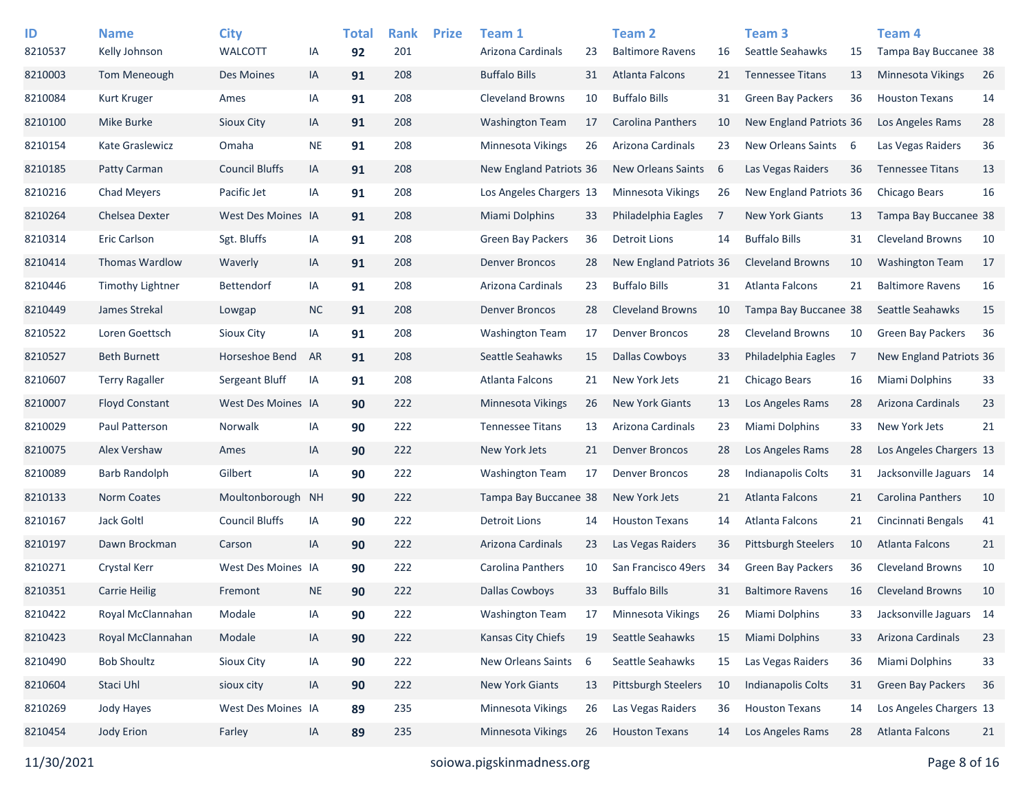| ID      | <b>Name</b>             | <b>City</b>           |           | <b>Total</b> | <b>Rank</b> | <b>Prize</b> | Team 1                  |    | Team 2                     |    | Team <sub>3</sub>          |     | Team 4                   |    |
|---------|-------------------------|-----------------------|-----------|--------------|-------------|--------------|-------------------------|----|----------------------------|----|----------------------------|-----|--------------------------|----|
| 8210537 | Kelly Johnson           | <b>WALCOTT</b>        | IA        | 92           | 201         |              | Arizona Cardinals       | 23 | <b>Baltimore Ravens</b>    | 16 | Seattle Seahawks           | 15  | Tampa Bay Buccanee 38    |    |
| 8210003 | Tom Meneough            | Des Moines            | IA        | 91           | 208         |              | <b>Buffalo Bills</b>    | 31 | Atlanta Falcons            | 21 | <b>Tennessee Titans</b>    | 13  | <b>Minnesota Vikings</b> | 26 |
| 8210084 | <b>Kurt Kruger</b>      | Ames                  | IA        | 91           | 208         |              | <b>Cleveland Browns</b> | 10 | <b>Buffalo Bills</b>       | 31 | <b>Green Bay Packers</b>   | 36  | <b>Houston Texans</b>    | 14 |
| 8210100 | <b>Mike Burke</b>       | Sioux City            | IA        | 91           | 208         |              | <b>Washington Team</b>  | 17 | Carolina Panthers          | 10 | New England Patriots 36    |     | Los Angeles Rams         | 28 |
| 8210154 | Kate Graslewicz         | Omaha                 | <b>NE</b> | 91           | 208         |              | Minnesota Vikings       | 26 | Arizona Cardinals          | 23 | New Orleans Saints         | - 6 | Las Vegas Raiders        | 36 |
| 8210185 | Patty Carman            | <b>Council Bluffs</b> | IA        | 91           | 208         |              | New England Patriots 36 |    | New Orleans Saints         | 6  | Las Vegas Raiders          | 36  | <b>Tennessee Titans</b>  | 13 |
| 8210216 | <b>Chad Meyers</b>      | Pacific Jet           | IA        | 91           | 208         |              | Los Angeles Chargers 13 |    | Minnesota Vikings          | 26 | New England Patriots 36    |     | Chicago Bears            | 16 |
| 8210264 | <b>Chelsea Dexter</b>   | West Des Moines IA    |           | 91           | 208         |              | <b>Miami Dolphins</b>   | 33 | Philadelphia Eagles        | 7  | <b>New York Giants</b>     | 13  | Tampa Bay Buccanee 38    |    |
| 8210314 | <b>Eric Carlson</b>     | Sgt. Bluffs           | IA        | 91           | 208         |              | Green Bay Packers       | 36 | Detroit Lions              | 14 | <b>Buffalo Bills</b>       | 31  | <b>Cleveland Browns</b>  | 10 |
| 8210414 | <b>Thomas Wardlow</b>   | Waverly               | IA        | 91           | 208         |              | <b>Denver Broncos</b>   | 28 | New England Patriots 36    |    | Cleveland Browns           | 10  | <b>Washington Team</b>   | 17 |
| 8210446 | <b>Timothy Lightner</b> | <b>Bettendorf</b>     | IA        | 91           | 208         |              | Arizona Cardinals       | 23 | <b>Buffalo Bills</b>       | 31 | Atlanta Falcons            | 21  | <b>Baltimore Ravens</b>  | 16 |
| 8210449 | James Strekal           | Lowgap                | <b>NC</b> | 91           | 208         |              | Denver Broncos          | 28 | <b>Cleveland Browns</b>    | 10 | Tampa Bay Buccanee 38      |     | Seattle Seahawks         | 15 |
| 8210522 | Loren Goettsch          | Sioux City            | IA        | 91           | 208         |              | <b>Washington Team</b>  | 17 | <b>Denver Broncos</b>      | 28 | <b>Cleveland Browns</b>    | 10  | <b>Green Bay Packers</b> | 36 |
| 8210527 | <b>Beth Burnett</b>     | Horseshoe Bend        | AR        | 91           | 208         |              | Seattle Seahawks        | 15 | Dallas Cowboys             | 33 | Philadelphia Eagles        | 7   | New England Patriots 36  |    |
| 8210607 | <b>Terry Ragaller</b>   | Sergeant Bluff        | IA        | 91           | 208         |              | Atlanta Falcons         | 21 | New York Jets              | 21 | Chicago Bears              | 16  | Miami Dolphins           | 33 |
| 8210007 | <b>Floyd Constant</b>   | West Des Moines IA    |           | 90           | 222         |              | Minnesota Vikings       | 26 | <b>New York Giants</b>     | 13 | Los Angeles Rams           | 28  | Arizona Cardinals        | 23 |
| 8210029 | Paul Patterson          | <b>Norwalk</b>        | IA        | 90           | 222         |              | <b>Tennessee Titans</b> | 13 | Arizona Cardinals          | 23 | Miami Dolphins             | 33  | New York Jets            | 21 |
| 8210075 | Alex Vershaw            | Ames                  | IA        | 90           | 222         |              | New York Jets           | 21 | <b>Denver Broncos</b>      | 28 | Los Angeles Rams           | 28  | Los Angeles Chargers 13  |    |
| 8210089 | <b>Barb Randolph</b>    | Gilbert               | IA        | 90           | 222         |              | <b>Washington Team</b>  | 17 | <b>Denver Broncos</b>      | 28 | Indianapolis Colts         | 31  | Jacksonville Jaguars 14  |    |
| 8210133 | <b>Norm Coates</b>      | Moultonborough        | <b>NH</b> | 90           | 222         |              | Tampa Bay Buccanee 38   |    | New York Jets              | 21 | <b>Atlanta Falcons</b>     | 21  | <b>Carolina Panthers</b> | 10 |
| 8210167 | Jack Goltl              | <b>Council Bluffs</b> | IA        | 90           | 222         |              | <b>Detroit Lions</b>    | 14 | <b>Houston Texans</b>      | 14 | Atlanta Falcons            | 21  | Cincinnati Bengals       | 41 |
| 8210197 | Dawn Brockman           | Carson                | IA        | 90           | 222         |              | Arizona Cardinals       | 23 | Las Vegas Raiders          | 36 | <b>Pittsburgh Steelers</b> | 10  | Atlanta Falcons          | 21 |
| 8210271 | Crystal Kerr            | West Des Moines IA    |           | 90           | 222         |              | Carolina Panthers       | 10 | San Francisco 49ers        | 34 | <b>Green Bay Packers</b>   | 36  | <b>Cleveland Browns</b>  | 10 |
| 8210351 | <b>Carrie Heilig</b>    | Fremont               | <b>NE</b> | 90           | 222         |              | <b>Dallas Cowboys</b>   | 33 | <b>Buffalo Bills</b>       | 31 | <b>Baltimore Ravens</b>    | 16  | <b>Cleveland Browns</b>  | 10 |
| 8210422 | Royal McClannahan       | Modale                | IA        | 90           | 222         |              | <b>Washington Team</b>  | 17 | Minnesota Vikings          | 26 | Miami Dolphins             | 33  | Jacksonville Jaguars 14  |    |
| 8210423 | Royal McClannahan       | Modale                | IA        | 90           | 222         |              | Kansas City Chiefs      | 19 | Seattle Seahawks           | 15 | Miami Dolphins             | 33  | Arizona Cardinals        | 23 |
| 8210490 | <b>Bob Shoultz</b>      | Sioux City            | IA        | 90           | 222         |              | New Orleans Saints      | 6  | Seattle Seahawks           | 15 | Las Vegas Raiders          | 36  | Miami Dolphins           | 33 |
| 8210604 | Staci Uhl               | sioux city            | IA        | 90           | 222         |              | New York Giants         | 13 | <b>Pittsburgh Steelers</b> | 10 | Indianapolis Colts         | 31  | <b>Green Bay Packers</b> | 36 |
| 8210269 | Jody Hayes              | West Des Moines IA    |           | 89           | 235         |              | Minnesota Vikings       | 26 | Las Vegas Raiders          | 36 | <b>Houston Texans</b>      | 14  | Los Angeles Chargers 13  |    |
| 8210454 | Jody Erion              | Farley                | IA        | 89           | 235         |              | Minnesota Vikings       | 26 | <b>Houston Texans</b>      | 14 | Los Angeles Rams           | 28  | Atlanta Falcons          | 21 |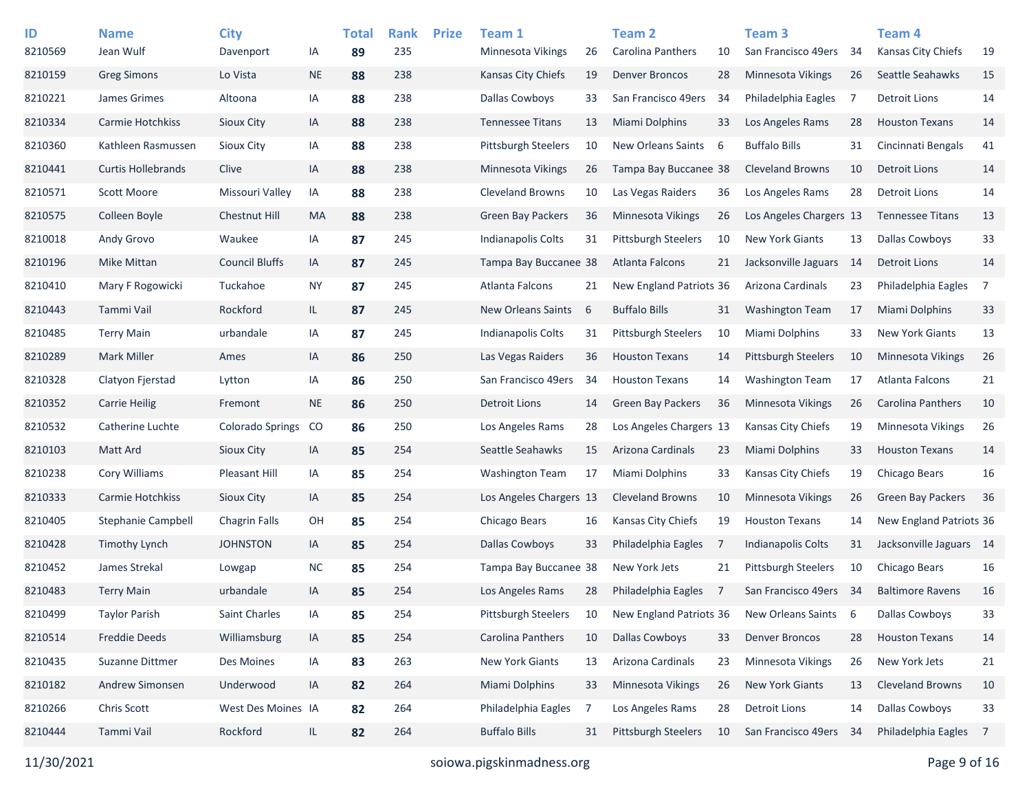| ID      | <b>Name</b>               | <b>City</b>             |           | <b>Total</b> | <b>Rank</b> | <b>Prize</b> | Team 1                     |    | <b>Team 2</b>              |    | Team <sub>3</sub>          |     | <b>Team 4</b>            |                |
|---------|---------------------------|-------------------------|-----------|--------------|-------------|--------------|----------------------------|----|----------------------------|----|----------------------------|-----|--------------------------|----------------|
| 8210569 | Jean Wulf                 | Davenport               | IA        | 89           | 235         |              | Minnesota Vikings          | 26 | Carolina Panthers          | 10 | San Francisco 49ers        | -34 | Kansas City Chiefs       | 19             |
| 8210159 | <b>Greg Simons</b>        | Lo Vista                | <b>NE</b> | 88           | 238         |              | <b>Kansas City Chiefs</b>  | 19 | <b>Denver Broncos</b>      | 28 | Minnesota Vikings          | 26  | Seattle Seahawks         | 15             |
| 8210221 | James Grimes              | Altoona                 | IA        | 88           | 238         |              | <b>Dallas Cowboys</b>      | 33 | San Francisco 49ers        | 34 | Philadelphia Eagles        | -7  | <b>Detroit Lions</b>     | 14             |
| 8210334 | Carmie Hotchkiss          | Sioux City              | IA        | 88           | 238         |              | <b>Tennessee Titans</b>    | 13 | Miami Dolphins             | 33 | Los Angeles Rams           | 28  | <b>Houston Texans</b>    | 14             |
| 8210360 | Kathleen Rasmussen        | <b>Sioux City</b>       | IA        | 88           | 238         |              | <b>Pittsburgh Steelers</b> | 10 | New Orleans Saints         | 6  | <b>Buffalo Bills</b>       | 31  | Cincinnati Bengals       | 41             |
| 8210441 | <b>Curtis Hollebrands</b> | Clive                   | IA        | 88           | 238         |              | <b>Minnesota Vikings</b>   | 26 | Tampa Bay Buccanee 38      |    | <b>Cleveland Browns</b>    | 10  | <b>Detroit Lions</b>     | 14             |
| 8210571 | Scott Moore               | Missouri Valley         | IA        | 88           | 238         |              | <b>Cleveland Browns</b>    | 10 | Las Vegas Raiders          | 36 | Los Angeles Rams           | 28  | <b>Detroit Lions</b>     | 14             |
| 8210575 | Colleen Boyle             | Chestnut Hill           | MA        | 88           | 238         |              | Green Bay Packers          | 36 | <b>Minnesota Vikings</b>   | 26 | Los Angeles Chargers 13    |     | <b>Tennessee Titans</b>  | 13             |
| 8210018 | Andy Grovo                | Waukee                  | IA        | 87           | 245         |              | <b>Indianapolis Colts</b>  | 31 | <b>Pittsburgh Steelers</b> | 10 | <b>New York Giants</b>     | 13  | <b>Dallas Cowboys</b>    | 33             |
| 8210196 | Mike Mittan               | <b>Council Bluffs</b>   | IA        | 87           | 245         |              | Tampa Bay Buccanee 38      |    | Atlanta Falcons            | 21 | Jacksonville Jaguars       | -14 | <b>Detroit Lions</b>     | 14             |
| 8210410 | Mary F Rogowicki          | Tuckahoe                | <b>NY</b> | 87           | 245         |              | <b>Atlanta Falcons</b>     | 21 | New England Patriots 36    |    | Arizona Cardinals          | 23  | Philadelphia Eagles      | $\overline{7}$ |
| 8210443 | Tammi Vail                | Rockford                | IL        | 87           | 245         |              | New Orleans Saints         | 6  | <b>Buffalo Bills</b>       | 31 | <b>Washington Team</b>     | 17  | <b>Miami Dolphins</b>    | 33             |
| 8210485 | <b>Terry Main</b>         | urbandale               | IA        | 87           | 245         |              | <b>Indianapolis Colts</b>  | 31 | <b>Pittsburgh Steelers</b> | 10 | <b>Miami Dolphins</b>      | 33  | <b>New York Giants</b>   | 13             |
| 8210289 | <b>Mark Miller</b>        | Ames                    | IA        | 86           | 250         |              | Las Vegas Raiders          | 36 | <b>Houston Texans</b>      | 14 | Pittsburgh Steelers        | 10  | Minnesota Vikings        | 26             |
| 8210328 | Clatyon Fjerstad          | Lytton                  | IA        | 86           | 250         |              | San Francisco 49ers        | 34 | <b>Houston Texans</b>      | 14 | <b>Washington Team</b>     | 17  | Atlanta Falcons          | 21             |
| 8210352 | <b>Carrie Heilig</b>      | Fremont                 | <b>NE</b> | 86           | 250         |              | <b>Detroit Lions</b>       | 14 | Green Bay Packers          | 36 | <b>Minnesota Vikings</b>   | 26  | Carolina Panthers        | 10             |
| 8210532 | Catherine Luchte          | <b>Colorado Springs</b> | <b>CO</b> | 86           | 250         |              | Los Angeles Rams           | 28 | Los Angeles Chargers 13    |    | Kansas City Chiefs         | 19  | Minnesota Vikings        | 26             |
| 8210103 | Matt Ard                  | Sioux City              | IA        | 85           | 254         |              | Seattle Seahawks           | 15 | Arizona Cardinals          | 23 | <b>Miami Dolphins</b>      | 33  | <b>Houston Texans</b>    | 14             |
| 8210238 | Cory Williams             | Pleasant Hill           | IA        | 85           | 254         |              | <b>Washington Team</b>     | 17 | Miami Dolphins             | 33 | Kansas City Chiefs         | 19  | Chicago Bears            | 16             |
| 8210333 | <b>Carmie Hotchkiss</b>   | Sioux City              | IA        | 85           | 254         |              | Los Angeles Chargers 13    |    | <b>Cleveland Browns</b>    | 10 | Minnesota Vikings          | 26  | <b>Green Bay Packers</b> | 36             |
| 8210405 | <b>Stephanie Campbell</b> | <b>Chagrin Falls</b>    | OH        | 85           | 254         |              | Chicago Bears              | 16 | <b>Kansas City Chiefs</b>  | 19 | <b>Houston Texans</b>      | 14  | New England Patriots 36  |                |
| 8210428 | <b>Timothy Lynch</b>      | <b>JOHNSTON</b>         | IA        | 85           | 254         |              | <b>Dallas Cowboys</b>      | 33 | Philadelphia Eagles        | 7  | <b>Indianapolis Colts</b>  | 31  | Jacksonville Jaguars 14  |                |
| 8210452 | James Strekal             | Lowgap                  | <b>NC</b> | 85           | 254         |              | Tampa Bay Buccanee 38      |    | New York Jets              | 21 | <b>Pittsburgh Steelers</b> | 10  | Chicago Bears            | 16             |
| 8210483 | <b>Terry Main</b>         | urbandale               | IA        | 85           | 254         |              | Los Angeles Rams           | 28 | Philadelphia Eagles        | 7  | San Francisco 49ers        | -34 | <b>Baltimore Ravens</b>  | 16             |
| 8210499 | <b>Taylor Parish</b>      | <b>Saint Charles</b>    | IA        | 85           | 254         |              | Pittsburgh Steelers        | 10 | New England Patriots 36    |    | New Orleans Saints         | -6  | <b>Dallas Cowboys</b>    | 33             |
| 8210514 | Freddie Deeds             | Williamsburg            | IA        | 85           | 254         |              | Carolina Panthers          | 10 | Dallas Cowboys             | 33 | <b>Denver Broncos</b>      | 28  | <b>Houston Texans</b>    | 14             |
| 8210435 | Suzanne Dittmer           | Des Moines              | IA        | 83           | 263         |              | <b>New York Giants</b>     | 13 | Arizona Cardinals          | 23 | Minnesota Vikings          | 26  | New York Jets            | 21             |
| 8210182 | Andrew Simonsen           | Underwood               | IA        | 82           | 264         |              | <b>Miami Dolphins</b>      | 33 | Minnesota Vikings          | 26 | New York Giants            | 13  | <b>Cleveland Browns</b>  | 10             |
| 8210266 | Chris Scott               | West Des Moines IA      |           | 82           | 264         |              | Philadelphia Eagles        | 7  | Los Angeles Rams           | 28 | <b>Detroit Lions</b>       | 14  | <b>Dallas Cowboys</b>    | 33             |
| 8210444 | Tammi Vail                | Rockford                | IL.       | 82           | 264         |              | <b>Buffalo Bills</b>       | 31 | Pittsburgh Steelers        | 10 | San Francisco 49ers        | -34 | Philadelphia Eagles      | - 7            |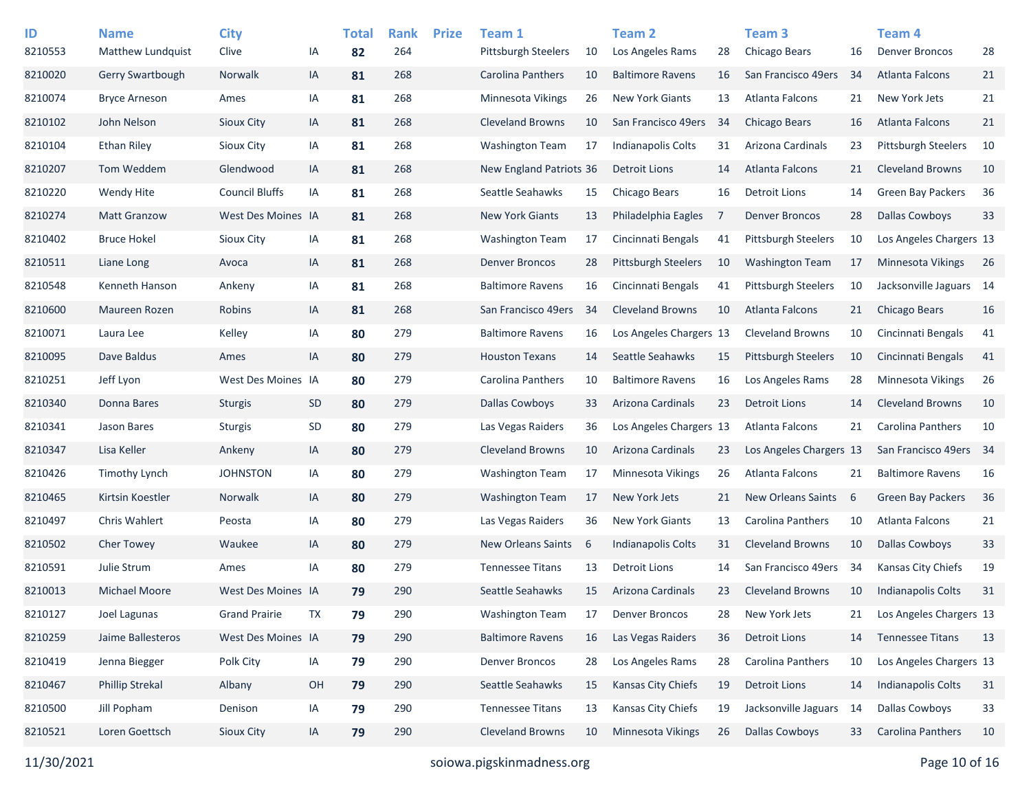| ID<br>8210553 | <b>Name</b><br>Matthew Lundquist | <b>City</b><br>Clive  | ΙA | <b>Total</b><br>82 | <b>Rank</b><br>264 | <b>Prize</b> | Team 1<br><b>Pittsburgh Steelers</b> | 10 | <b>Team 2</b><br>Los Angeles Rams | 28 | Team <sub>3</sub><br>Chicago Bears | 16 | Team <sub>4</sub><br><b>Denver Broncos</b> | 28   |
|---------------|----------------------------------|-----------------------|----|--------------------|--------------------|--------------|--------------------------------------|----|-----------------------------------|----|------------------------------------|----|--------------------------------------------|------|
| 8210020       | Gerry Swartbough                 | Norwalk               | IA | 81                 | 268                |              | Carolina Panthers                    | 10 | <b>Baltimore Ravens</b>           | 16 | San Francisco 49ers                | 34 | <b>Atlanta Falcons</b>                     | 21   |
| 8210074       | <b>Bryce Arneson</b>             | Ames                  | IA | 81                 | 268                |              | <b>Minnesota Vikings</b>             | 26 | <b>New York Giants</b>            | 13 | Atlanta Falcons                    | 21 | New York Jets                              | 21   |
| 8210102       | John Nelson                      | Sioux City            | IA | 81                 | 268                |              | <b>Cleveland Browns</b>              | 10 | San Francisco 49ers               | 34 | <b>Chicago Bears</b>               | 16 | <b>Atlanta Falcons</b>                     | 21   |
| 8210104       | <b>Ethan Riley</b>               | Sioux City            | IA | 81                 | 268                |              | <b>Washington Team</b>               | 17 | <b>Indianapolis Colts</b>         | 31 | Arizona Cardinals                  | 23 | <b>Pittsburgh Steelers</b>                 | 10   |
| 8210207       | Tom Weddem                       | Glendwood             | IA | 81                 | 268                |              | New England Patriots 36              |    | Detroit Lions                     | 14 | Atlanta Falcons                    | 21 | <b>Cleveland Browns</b>                    | 10   |
| 8210220       | Wendy Hite                       | <b>Council Bluffs</b> | IA | 81                 | 268                |              | Seattle Seahawks                     | 15 | Chicago Bears                     | 16 | <b>Detroit Lions</b>               | 14 | <b>Green Bay Packers</b>                   | 36   |
| 8210274       | <b>Matt Granzow</b>              | West Des Moines IA    |    | 81                 | 268                |              | <b>New York Giants</b>               | 13 | Philadelphia Eagles               | 7  | <b>Denver Broncos</b>              | 28 | <b>Dallas Cowboys</b>                      | 33   |
| 8210402       | <b>Bruce Hokel</b>               | Sioux City            | IA | 81                 | 268                |              | <b>Washington Team</b>               | 17 | Cincinnati Bengals                | 41 | <b>Pittsburgh Steelers</b>         | 10 | Los Angeles Chargers 13                    |      |
| 8210511       | Liane Long                       | Avoca                 | IA | 81                 | 268                |              | <b>Denver Broncos</b>                | 28 | <b>Pittsburgh Steelers</b>        | 10 | <b>Washington Team</b>             | 17 | <b>Minnesota Vikings</b>                   | 26   |
| 8210548       | Kenneth Hanson                   | Ankeny                | IA | 81                 | 268                |              | <b>Baltimore Ravens</b>              | 16 | Cincinnati Bengals                | 41 | <b>Pittsburgh Steelers</b>         | 10 | Jacksonville Jaguars 14                    |      |
| 8210600       | Maureen Rozen                    | Robins                | IA | 81                 | 268                |              | San Francisco 49ers                  | 34 | <b>Cleveland Browns</b>           | 10 | <b>Atlanta Falcons</b>             | 21 | Chicago Bears                              | 16   |
| 8210071       | Laura Lee                        | Kelley                | IA | 80                 | 279                |              | <b>Baltimore Ravens</b>              | 16 | Los Angeles Chargers 13           |    | <b>Cleveland Browns</b>            | 10 | Cincinnati Bengals                         | 41   |
| 8210095       | Dave Baldus                      | Ames                  | IA | 80                 | 279                |              | <b>Houston Texans</b>                | 14 | Seattle Seahawks                  | 15 | Pittsburgh Steelers                | 10 | Cincinnati Bengals                         | 41   |
| 8210251       | Jeff Lyon                        | West Des Moines IA    |    | 80                 | 279                |              | Carolina Panthers                    | 10 | <b>Baltimore Ravens</b>           | 16 | Los Angeles Rams                   | 28 | <b>Minnesota Vikings</b>                   | 26   |
| 8210340       | Donna Bares                      | <b>Sturgis</b>        | SD | 80                 | 279                |              | <b>Dallas Cowboys</b>                | 33 | Arizona Cardinals                 | 23 | <b>Detroit Lions</b>               | 14 | <b>Cleveland Browns</b>                    | 10   |
| 8210341       | Jason Bares                      | <b>Sturgis</b>        | SD | 80                 | 279                |              | Las Vegas Raiders                    | 36 | Los Angeles Chargers 13           |    | Atlanta Falcons                    | 21 | Carolina Panthers                          | 10   |
| 8210347       | Lisa Keller                      | Ankeny                | IA | 80                 | 279                |              | <b>Cleveland Browns</b>              | 10 | Arizona Cardinals                 | 23 | Los Angeles Chargers 13            |    | San Francisco 49ers                        | - 34 |
| 8210426       | <b>Timothy Lynch</b>             | <b>JOHNSTON</b>       | IA | 80                 | 279                |              | <b>Washington Team</b>               | 17 | Minnesota Vikings                 | 26 | Atlanta Falcons                    | 21 | <b>Baltimore Ravens</b>                    | 16   |
| 8210465       | Kirtsin Koestler                 | Norwalk               | IA | 80                 | 279                |              | <b>Washington Team</b>               | 17 | New York Jets                     | 21 | <b>New Orleans Saints</b>          | 6  | <b>Green Bay Packers</b>                   | 36   |
| 8210497       | <b>Chris Wahlert</b>             | Peosta                | IA | 80                 | 279                |              | Las Vegas Raiders                    | 36 | <b>New York Giants</b>            | 13 | Carolina Panthers                  | 10 | Atlanta Falcons                            | 21   |
| 8210502       | <b>Cher Towey</b>                | Waukee                | IA | 80                 | 279                |              | <b>New Orleans Saints</b>            | 6  | <b>Indianapolis Colts</b>         | 31 | <b>Cleveland Browns</b>            | 10 | <b>Dallas Cowboys</b>                      | 33   |
| 8210591       | Julie Strum                      | Ames                  | IA | 80                 | 279                |              | <b>Tennessee Titans</b>              | 13 | Detroit Lions                     | 14 | San Francisco 49ers                | 34 | Kansas City Chiefs                         | 19   |
| 8210013       | <b>Michael Moore</b>             | West Des Moines IA    |    | 79                 | 290                |              | Seattle Seahawks                     | 15 | Arizona Cardinals                 | 23 | <b>Cleveland Browns</b>            | 10 | <b>Indianapolis Colts</b>                  | 31   |
| 8210127       | Joel Lagunas                     | <b>Grand Prairie</b>  | TX | 79                 | 290                |              | <b>Washington Team</b>               | 17 | <b>Denver Broncos</b>             | 28 | New York Jets                      | 21 | Los Angeles Chargers 13                    |      |
| 8210259       | Jaime Ballesteros                | West Des Moines IA    |    | 79                 | 290                |              | <b>Baltimore Ravens</b>              | 16 | Las Vegas Raiders                 | 36 | <b>Detroit Lions</b>               | 14 | <b>Tennessee Titans</b>                    | 13   |
| 8210419       | Jenna Biegger                    | Polk City             | IA | 79                 | 290                |              | <b>Denver Broncos</b>                | 28 | Los Angeles Rams                  | 28 | <b>Carolina Panthers</b>           | 10 | Los Angeles Chargers 13                    |      |
| 8210467       | <b>Phillip Strekal</b>           | Albany                | OH | 79                 | 290                |              | Seattle Seahawks                     | 15 | Kansas City Chiefs                | 19 | <b>Detroit Lions</b>               | 14 | Indianapolis Colts                         | 31   |
| 8210500       | Jill Popham                      | Denison               | IA | 79                 | 290                |              | <b>Tennessee Titans</b>              | 13 | Kansas City Chiefs                | 19 | Jacksonville Jaguars               | 14 | <b>Dallas Cowboys</b>                      | 33   |
| 8210521       | Loren Goettsch                   | Sioux City            | IA | 79                 | 290                |              | Cleveland Browns                     | 10 | Minnesota Vikings                 | 26 | <b>Dallas Cowboys</b>              | 33 | Carolina Panthers                          | 10   |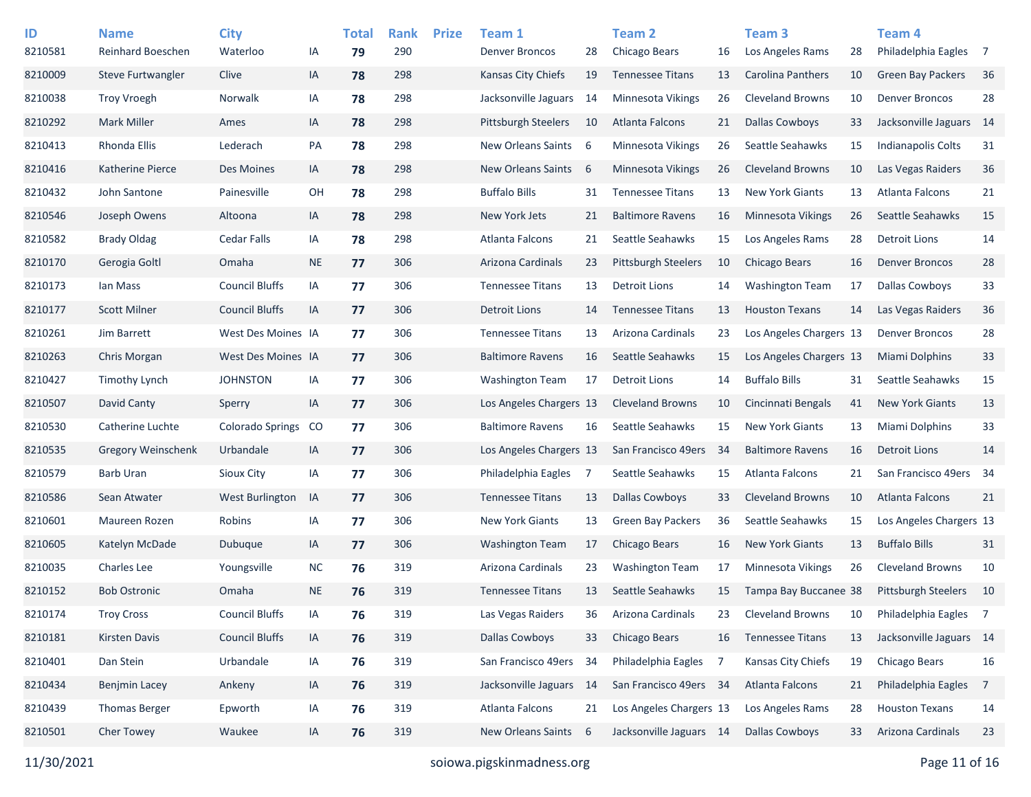| ID      | <b>Name</b>              | <b>City</b>             |           | <b>Total</b> | <b>Rank</b> | <b>Prize</b> | Team 1                     |      | <b>Team 2</b>              |     | <b>Team 3</b>            |    | Team 4                     |                |
|---------|--------------------------|-------------------------|-----------|--------------|-------------|--------------|----------------------------|------|----------------------------|-----|--------------------------|----|----------------------------|----------------|
| 8210581 | <b>Reinhard Boeschen</b> | Waterloo                | IA        | 79           | 290         |              | Denver Broncos             | 28   | Chicago Bears              | 16  | Los Angeles Rams         | 28 | Philadelphia Eagles        | $\overline{7}$ |
| 8210009 | Steve Furtwangler        | Clive                   | IA        | 78           | 298         |              | Kansas City Chiefs         | 19   | <b>Tennessee Titans</b>    | 13  | <b>Carolina Panthers</b> | 10 | <b>Green Bay Packers</b>   | 36             |
| 8210038 | <b>Troy Vroegh</b>       | Norwalk                 | IA        | 78           | 298         |              | Jacksonville Jaguars       | 14   | <b>Minnesota Vikings</b>   | 26  | <b>Cleveland Browns</b>  | 10 | <b>Denver Broncos</b>      | 28             |
| 8210292 | <b>Mark Miller</b>       | Ames                    | IA        | 78           | 298         |              | <b>Pittsburgh Steelers</b> | 10   | Atlanta Falcons            | 21  | <b>Dallas Cowboys</b>    | 33 | Jacksonville Jaguars 14    |                |
| 8210413 | Rhonda Ellis             | Lederach                | PA        | 78           | 298         |              | New Orleans Saints         | 6    | Minnesota Vikings          | 26  | Seattle Seahawks         | 15 | Indianapolis Colts         | 31             |
| 8210416 | Katherine Pierce         | Des Moines              | IA        | 78           | 298         |              | <b>New Orleans Saints</b>  | 6    | Minnesota Vikings          | 26  | <b>Cleveland Browns</b>  | 10 | Las Vegas Raiders          | 36             |
| 8210432 | John Santone             | Painesville             | OH        | 78           | 298         |              | <b>Buffalo Bills</b>       | 31   | <b>Tennessee Titans</b>    | 13  | <b>New York Giants</b>   | 13 | Atlanta Falcons            | 21             |
| 8210546 | Joseph Owens             | Altoona                 | IA        | 78           | 298         |              | New York Jets              | 21   | <b>Baltimore Ravens</b>    | 16  | Minnesota Vikings        | 26 | Seattle Seahawks           | 15             |
| 8210582 | <b>Brady Oldag</b>       | <b>Cedar Falls</b>      | IA        | 78           | 298         |              | Atlanta Falcons            | 21   | Seattle Seahawks           | 15  | Los Angeles Rams         | 28 | <b>Detroit Lions</b>       | 14             |
| 8210170 | Gerogia Goltl            | Omaha                   | <b>NE</b> | 77           | 306         |              | Arizona Cardinals          | 23   | <b>Pittsburgh Steelers</b> | 10  | <b>Chicago Bears</b>     | 16 | <b>Denver Broncos</b>      | 28             |
| 8210173 | Ian Mass                 | <b>Council Bluffs</b>   | IA        | 77           | 306         |              | <b>Tennessee Titans</b>    | 13   | Detroit Lions              | 14  | <b>Washington Team</b>   | 17 | Dallas Cowboys             | 33             |
| 8210177 | <b>Scott Milner</b>      | <b>Council Bluffs</b>   | IA        | 77           | 306         |              | <b>Detroit Lions</b>       | 14   | <b>Tennessee Titans</b>    | 13  | <b>Houston Texans</b>    | 14 | Las Vegas Raiders          | 36             |
| 8210261 | Jim Barrett              | West Des Moines IA      |           | 77           | 306         |              | <b>Tennessee Titans</b>    | 13   | Arizona Cardinals          | 23  | Los Angeles Chargers 13  |    | <b>Denver Broncos</b>      | 28             |
| 8210263 | Chris Morgan             | West Des Moines IA      |           | 77           | 306         |              | <b>Baltimore Ravens</b>    | 16   | Seattle Seahawks           | 15  | Los Angeles Chargers 13  |    | Miami Dolphins             | 33             |
| 8210427 | <b>Timothy Lynch</b>     | <b>JOHNSTON</b>         | IA        | 77           | 306         |              | <b>Washington Team</b>     | 17   | Detroit Lions              | 14  | <b>Buffalo Bills</b>     | 31 | Seattle Seahawks           | 15             |
| 8210507 | David Canty              | Sperry                  | IA        | 77           | 306         |              | Los Angeles Chargers 13    |      | <b>Cleveland Browns</b>    | 10  | Cincinnati Bengals       | 41 | <b>New York Giants</b>     | 13             |
| 8210530 | Catherine Luchte         | <b>Colorado Springs</b> | CO        | 77           | 306         |              | <b>Baltimore Ravens</b>    | 16   | Seattle Seahawks           | 15  | <b>New York Giants</b>   | 13 | Miami Dolphins             | 33             |
| 8210535 | Gregory Weinschenk       | Urbandale               | IA        | 77           | 306         |              | Los Angeles Chargers 13    |      | San Francisco 49ers        | -34 | <b>Baltimore Ravens</b>  | 16 | <b>Detroit Lions</b>       | 14             |
| 8210579 | Barb Uran                | <b>Sioux City</b>       | IA        | 77           | 306         |              | Philadelphia Eagles        | 7    | Seattle Seahawks           | 15  | Atlanta Falcons          | 21 | San Francisco 49ers 34     |                |
| 8210586 | Sean Atwater             | West Burlington         | IA        | 77           | 306         |              | <b>Tennessee Titans</b>    | 13   | <b>Dallas Cowboys</b>      | 33  | <b>Cleveland Browns</b>  | 10 | <b>Atlanta Falcons</b>     | 21             |
| 8210601 | Maureen Rozen            | Robins                  | IA        | 77           | 306         |              | <b>New York Giants</b>     | 13   | <b>Green Bay Packers</b>   | 36  | Seattle Seahawks         | 15 | Los Angeles Chargers 13    |                |
| 8210605 | Katelyn McDade           | Dubuque                 | IA        | 77           | 306         |              | <b>Washington Team</b>     | 17   | Chicago Bears              | 16  | <b>New York Giants</b>   | 13 | <b>Buffalo Bills</b>       | 31             |
| 8210035 | <b>Charles Lee</b>       | Youngsville             | <b>NC</b> | 76           | 319         |              | Arizona Cardinals          | 23   | <b>Washington Team</b>     | 17  | Minnesota Vikings        | 26 | <b>Cleveland Browns</b>    | 10             |
| 8210152 | <b>Bob Ostronic</b>      | Omaha                   | <b>NE</b> | 76           | 319         |              | <b>Tennessee Titans</b>    | 13   | Seattle Seahawks           | 15  | Tampa Bay Buccanee 38    |    | <b>Pittsburgh Steelers</b> | 10             |
| 8210174 | <b>Troy Cross</b>        | <b>Council Bluffs</b>   | IA        | 76           | 319         |              | Las Vegas Raiders          | 36   | Arizona Cardinals          | 23  | <b>Cleveland Browns</b>  | 10 | Philadelphia Eagles        | $\overline{7}$ |
| 8210181 | Kirsten Davis            | <b>Council Bluffs</b>   | IA        | 76           | 319         |              | <b>Dallas Cowboys</b>      | 33   | Chicago Bears              | 16  | <b>Tennessee Titans</b>  | 13 | Jacksonville Jaguars 14    |                |
| 8210401 | Dan Stein                | Urbandale               | IA        | 76           | 319         |              | San Francisco 49ers        | -34  | Philadelphia Eagles        | -7  | Kansas City Chiefs       | 19 | Chicago Bears              | 16             |
| 8210434 | <b>Benjmin Lacey</b>     | Ankeny                  | IA        | 76           | 319         |              | Jacksonville Jaguars       | - 14 | San Francisco 49ers 34     |     | Atlanta Falcons          | 21 | Philadelphia Eagles        | $\overline{7}$ |
| 8210439 | <b>Thomas Berger</b>     | Epworth                 | IA        | 76           | 319         |              | Atlanta Falcons            | 21   | Los Angeles Chargers 13    |     | Los Angeles Rams         | 28 | <b>Houston Texans</b>      | 14             |
| 8210501 | Cher Towey               | Waukee                  | IA        | 76           | 319         |              | New Orleans Saints         | 6    | Jacksonville Jaguars 14    |     | <b>Dallas Cowboys</b>    | 33 | Arizona Cardinals          | 23             |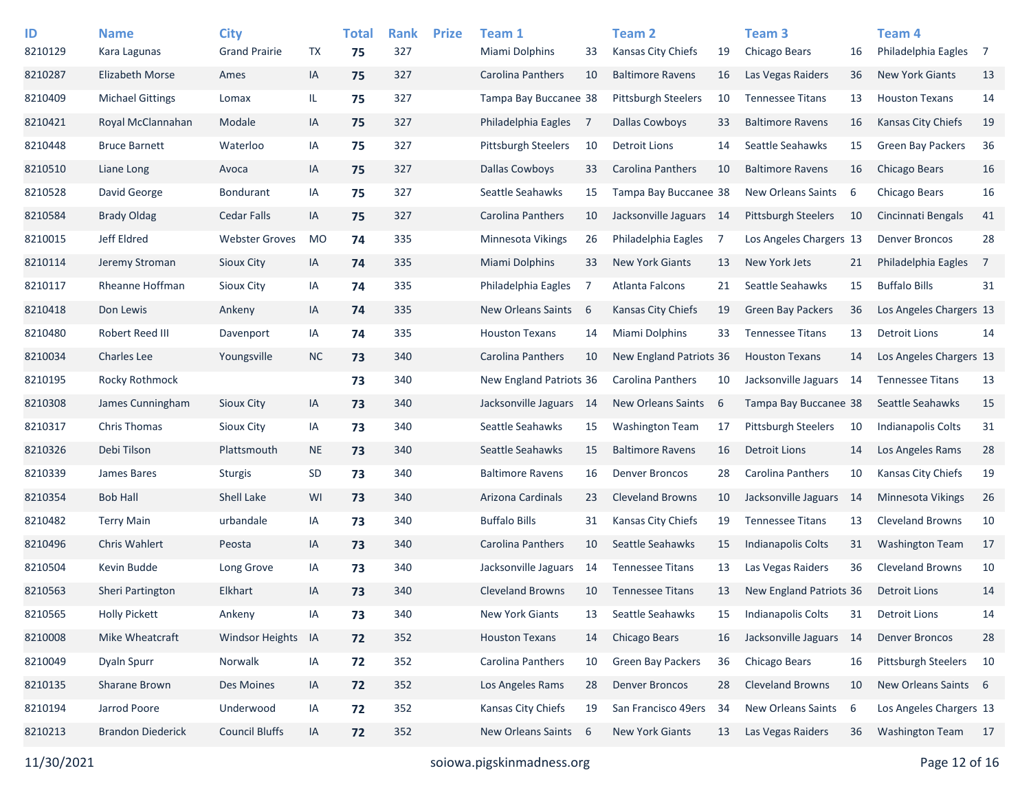| ID<br>8210129 | <b>Name</b><br>Kara Lagunas | <b>City</b><br><b>Grand Prairie</b> | <b>TX</b> | <b>Total</b><br>75 | <b>Rank</b><br>327 | <b>Prize</b> | Team 1<br>Miami Dolphins | 33 | Team 2<br><b>Kansas City Chiefs</b> | 19 | Team 3<br>Chicago Bears   | 16   | Team <sub>4</sub><br>Philadelphia Eagles | $\overline{7}$ |
|---------------|-----------------------------|-------------------------------------|-----------|--------------------|--------------------|--------------|--------------------------|----|-------------------------------------|----|---------------------------|------|------------------------------------------|----------------|
| 8210287       | <b>Elizabeth Morse</b>      | Ames                                | IA        | 75                 | 327                |              | Carolina Panthers        | 10 | <b>Baltimore Ravens</b>             | 16 | Las Vegas Raiders         | 36   | <b>New York Giants</b>                   | 13             |
|               |                             |                                     |           |                    |                    |              |                          |    |                                     |    |                           |      |                                          |                |
| 8210409       | <b>Michael Gittings</b>     | Lomax                               | IL        | 75                 | 327                |              | Tampa Bay Buccanee 38    |    | <b>Pittsburgh Steelers</b>          | 10 | <b>Tennessee Titans</b>   | 13   | <b>Houston Texans</b>                    | 14             |
| 8210421       | Royal McClannahan           | Modale                              | IA        | 75                 | 327                |              | Philadelphia Eagles      | 7  | <b>Dallas Cowboys</b>               | 33 | <b>Baltimore Ravens</b>   | 16   | <b>Kansas City Chiefs</b>                | 19             |
| 8210448       | <b>Bruce Barnett</b>        | Waterloo                            | IA        | 75                 | 327                |              | Pittsburgh Steelers      | 10 | Detroit Lions                       | 14 | Seattle Seahawks          | 15   | <b>Green Bay Packers</b>                 | 36             |
| 8210510       | Liane Long                  | Avoca                               | IA        | 75                 | 327                |              | Dallas Cowboys           | 33 | Carolina Panthers                   | 10 | <b>Baltimore Ravens</b>   | 16   | <b>Chicago Bears</b>                     | 16             |
| 8210528       | David George                | <b>Bondurant</b>                    | IA        | 75                 | 327                |              | Seattle Seahawks         | 15 | Tampa Bay Buccanee 38               |    | New Orleans Saints        | 6    | Chicago Bears                            | 16             |
| 8210584       | <b>Brady Oldag</b>          | <b>Cedar Falls</b>                  | IA        | 75                 | 327                |              | Carolina Panthers        | 10 | Jacksonville Jaguars 14             |    | Pittsburgh Steelers       | 10   | Cincinnati Bengals                       | 41             |
| 8210015       | Jeff Eldred                 | <b>Webster Groves</b>               | MO        | 74                 | 335                |              | Minnesota Vikings        | 26 | Philadelphia Eagles                 | 7  | Los Angeles Chargers 13   |      | <b>Denver Broncos</b>                    | 28             |
| 8210114       | Jeremy Stroman              | Sioux City                          | IA        | 74                 | 335                |              | Miami Dolphins           | 33 | <b>New York Giants</b>              | 13 | New York Jets             | 21   | Philadelphia Eagles                      | 7              |
| 8210117       | Rheanne Hoffman             | <b>Sioux City</b>                   | IA        | 74                 | 335                |              | Philadelphia Eagles      | 7  | Atlanta Falcons                     | 21 | Seattle Seahawks          | 15   | <b>Buffalo Bills</b>                     | 31             |
| 8210418       | Don Lewis                   | Ankeny                              | IA        | 74                 | 335                |              | New Orleans Saints       | 6  | <b>Kansas City Chiefs</b>           | 19 | Green Bay Packers         | 36   | Los Angeles Chargers 13                  |                |
| 8210480       | Robert Reed III             | Davenport                           | IA        | 74                 | 335                |              | <b>Houston Texans</b>    | 14 | Miami Dolphins                      | 33 | <b>Tennessee Titans</b>   | 13   | <b>Detroit Lions</b>                     | 14             |
| 8210034       | <b>Charles Lee</b>          | Youngsville                         | <b>NC</b> | 73                 | 340                |              | <b>Carolina Panthers</b> | 10 | New England Patriots 36             |    | <b>Houston Texans</b>     | 14   | Los Angeles Chargers 13                  |                |
| 8210195       | Rocky Rothmock              |                                     |           | 73                 | 340                |              | New England Patriots 36  |    | Carolina Panthers                   | 10 | Jacksonville Jaguars      | -14  | <b>Tennessee Titans</b>                  | 13             |
| 8210308       | James Cunningham            | Sioux City                          | IA        | 73                 | 340                |              | Jacksonville Jaguars 14  |    | <b>New Orleans Saints</b>           | 6  | Tampa Bay Buccanee 38     |      | Seattle Seahawks                         | 15             |
| 8210317       | <b>Chris Thomas</b>         | Sioux City                          | IA        | 73                 | 340                |              | Seattle Seahawks         | 15 | <b>Washington Team</b>              | 17 | Pittsburgh Steelers       | 10   | <b>Indianapolis Colts</b>                | 31             |
| 8210326       | Debi Tilson                 | Plattsmouth                         | <b>NE</b> | 73                 | 340                |              | Seattle Seahawks         | 15 | <b>Baltimore Ravens</b>             | 16 | <b>Detroit Lions</b>      | 14   | Los Angeles Rams                         | 28             |
| 8210339       | James Bares                 | <b>Sturgis</b>                      | SD        | 73                 | 340                |              | <b>Baltimore Ravens</b>  | 16 | <b>Denver Broncos</b>               | 28 | Carolina Panthers         | 10   | Kansas City Chiefs                       | 19             |
| 8210354       | <b>Bob Hall</b>             | Shell Lake                          | WI        | 73                 | 340                |              | Arizona Cardinals        | 23 | <b>Cleveland Browns</b>             | 10 | Jacksonville Jaguars      | -14  | <b>Minnesota Vikings</b>                 | 26             |
| 8210482       | <b>Terry Main</b>           | urbandale                           | IA        | 73                 | 340                |              | <b>Buffalo Bills</b>     | 31 | Kansas City Chiefs                  | 19 | <b>Tennessee Titans</b>   | 13   | <b>Cleveland Browns</b>                  | 10             |
| 8210496       | <b>Chris Wahlert</b>        | Peosta                              | IA        | 73                 | 340                |              | Carolina Panthers        | 10 | Seattle Seahawks                    | 15 | <b>Indianapolis Colts</b> | 31   | <b>Washington Team</b>                   | 17             |
| 8210504       | Kevin Budde                 | Long Grove                          | IA        | 73                 | 340                |              | Jacksonville Jaguars     | 14 | <b>Tennessee Titans</b>             | 13 | Las Vegas Raiders         | 36   | <b>Cleveland Browns</b>                  | 10             |
| 8210563       | Sheri Partington            | Elkhart                             | IA        | 73                 | 340                |              | <b>Cleveland Browns</b>  | 10 | <b>Tennessee Titans</b>             | 13 | New England Patriots 36   |      | <b>Detroit Lions</b>                     | 14             |
| 8210565       | <b>Holly Pickett</b>        | Ankeny                              | IA        | 73                 | 340                |              | <b>New York Giants</b>   | 13 | Seattle Seahawks                    | 15 | Indianapolis Colts        | 31   | <b>Detroit Lions</b>                     | 14             |
| 8210008       | Mike Wheatcraft             | Windsor Heights                     | IA        | 72                 | 352                |              | <b>Houston Texans</b>    | 14 | Chicago Bears                       | 16 | Jacksonville Jaguars      | - 14 | <b>Denver Broncos</b>                    | 28             |
| 8210049       | Dyaln Spurr                 | Norwalk                             | IA        | 72                 | 352                |              | Carolina Panthers        | 10 | Green Bay Packers                   | 36 | Chicago Bears             | 16   | Pittsburgh Steelers                      | 10             |
| 8210135       | Sharane Brown               | Des Moines                          | IA        | 72                 | 352                |              | Los Angeles Rams         | 28 | <b>Denver Broncos</b>               | 28 | <b>Cleveland Browns</b>   | 10   | New Orleans Saints 6                     |                |
| 8210194       | Jarrod Poore                | Underwood                           | IA        | 72                 | 352                |              | Kansas City Chiefs       | 19 | San Francisco 49ers                 | 34 | New Orleans Saints        | - 6  | Los Angeles Chargers 13                  |                |
| 8210213       | <b>Brandon Diederick</b>    | <b>Council Bluffs</b>               | IA        | 72                 | 352                |              | New Orleans Saints       | 6  | New York Giants                     | 13 | Las Vegas Raiders         | 36   | Washington Team 17                       |                |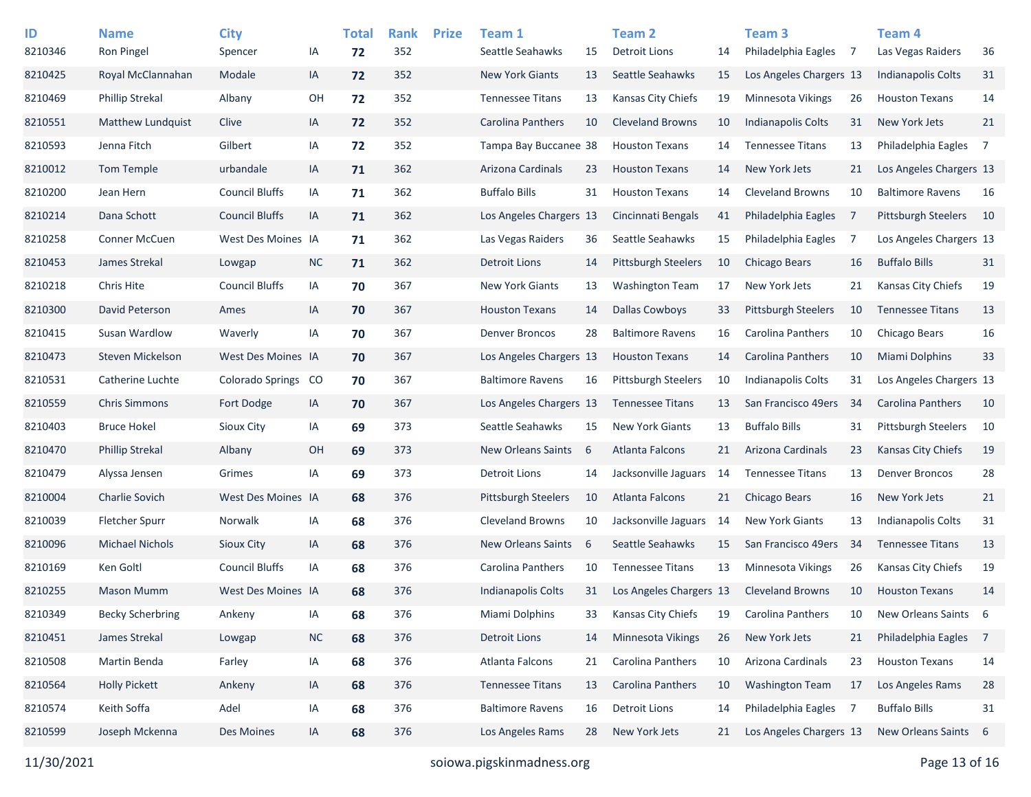| ID      | <b>Name</b>             | <b>City</b>           |           | <b>Total</b> | <b>Rank</b> | <b>Prize</b> | Team 1                     |    | Team 2                     |     | Team <sub>3</sub>        |     | Team 4                     |                |
|---------|-------------------------|-----------------------|-----------|--------------|-------------|--------------|----------------------------|----|----------------------------|-----|--------------------------|-----|----------------------------|----------------|
| 8210346 | Ron Pingel              | Spencer               | IA        | 72           | 352         |              | Seattle Seahawks           | 15 | <b>Detroit Lions</b>       | 14  | Philadelphia Eagles      | -7  | Las Vegas Raiders          | 36             |
| 8210425 | Royal McClannahan       | Modale                | IA        | 72           | 352         |              | <b>New York Giants</b>     | 13 | Seattle Seahawks           | 15  | Los Angeles Chargers 13  |     | <b>Indianapolis Colts</b>  | 31             |
| 8210469 | <b>Phillip Strekal</b>  | Albany                | OH        | 72           | 352         |              | <b>Tennessee Titans</b>    | 13 | Kansas City Chiefs         | 19  | Minnesota Vikings        | 26  | <b>Houston Texans</b>      | 14             |
| 8210551 | Matthew Lundquist       | Clive                 | IA        | 72           | 352         |              | Carolina Panthers          | 10 | <b>Cleveland Browns</b>    | 10  | Indianapolis Colts       | 31  | New York Jets              | 21             |
| 8210593 | Jenna Fitch             | Gilbert               | IA        | 72           | 352         |              | Tampa Bay Buccanee 38      |    | <b>Houston Texans</b>      | 14  | <b>Tennessee Titans</b>  | 13  | Philadelphia Eagles        | $\overline{7}$ |
| 8210012 | Tom Temple              | urbandale             | IA        | 71           | 362         |              | Arizona Cardinals          | 23 | <b>Houston Texans</b>      | 14  | New York Jets            | 21  | Los Angeles Chargers 13    |                |
| 8210200 | Jean Hern               | <b>Council Bluffs</b> | IA        | 71           | 362         |              | <b>Buffalo Bills</b>       | 31 | <b>Houston Texans</b>      | 14  | <b>Cleveland Browns</b>  | 10  | <b>Baltimore Ravens</b>    | 16             |
| 8210214 | Dana Schott             | <b>Council Bluffs</b> | IA        | 71           | 362         |              | Los Angeles Chargers 13    |    | Cincinnati Bengals         | 41  | Philadelphia Eagles      | 7   | <b>Pittsburgh Steelers</b> | - 10           |
| 8210258 | <b>Conner McCuen</b>    | West Des Moines IA    |           | 71           | 362         |              | Las Vegas Raiders          | 36 | Seattle Seahawks           | 15  | Philadelphia Eagles      | -7  | Los Angeles Chargers 13    |                |
| 8210453 | James Strekal           | Lowgap                | <b>NC</b> | 71           | 362         |              | <b>Detroit Lions</b>       | 14 | <b>Pittsburgh Steelers</b> | 10  | <b>Chicago Bears</b>     | 16  | <b>Buffalo Bills</b>       | 31             |
| 8210218 | <b>Chris Hite</b>       | <b>Council Bluffs</b> | IA        | 70           | 367         |              | <b>New York Giants</b>     | 13 | <b>Washington Team</b>     | 17  | New York Jets            | 21  | Kansas City Chiefs         | 19             |
| 8210300 | David Peterson          | Ames                  | IA        | 70           | 367         |              | <b>Houston Texans</b>      | 14 | <b>Dallas Cowboys</b>      | 33  | Pittsburgh Steelers      | 10  | <b>Tennessee Titans</b>    | 13             |
| 8210415 | Susan Wardlow           | Waverly               | IA        | 70           | 367         |              | <b>Denver Broncos</b>      | 28 | <b>Baltimore Ravens</b>    | 16  | Carolina Panthers        | 10  | Chicago Bears              | 16             |
| 8210473 | Steven Mickelson        | West Des Moines IA    |           | 70           | 367         |              | Los Angeles Chargers 13    |    | <b>Houston Texans</b>      | 14  | <b>Carolina Panthers</b> | 10  | Miami Dolphins             | 33             |
| 8210531 | Catherine Luchte        | Colorado Springs      | CO        | 70           | 367         |              | <b>Baltimore Ravens</b>    | 16 | <b>Pittsburgh Steelers</b> | 10  | Indianapolis Colts       | 31  | Los Angeles Chargers 13    |                |
| 8210559 | <b>Chris Simmons</b>    | Fort Dodge            | IA        | 70           | 367         |              | Los Angeles Chargers 13    |    | <b>Tennessee Titans</b>    | 13  | San Francisco 49ers      | 34  | <b>Carolina Panthers</b>   | 10             |
| 8210403 | <b>Bruce Hokel</b>      | Sioux City            | IA        | 69           | 373         |              | Seattle Seahawks           | 15 | <b>New York Giants</b>     | 13  | <b>Buffalo Bills</b>     | 31  | <b>Pittsburgh Steelers</b> | 10             |
| 8210470 | <b>Phillip Strekal</b>  | Albany                | OH        | 69           | 373         |              | <b>New Orleans Saints</b>  | 6  | Atlanta Falcons            | 21  | Arizona Cardinals        | 23  | <b>Kansas City Chiefs</b>  | 19             |
| 8210479 | Alyssa Jensen           | Grimes                | IA        | 69           | 373         |              | <b>Detroit Lions</b>       | 14 | Jacksonville Jaguars       | -14 | <b>Tennessee Titans</b>  | 13  | <b>Denver Broncos</b>      | 28             |
| 8210004 | <b>Charlie Sovich</b>   | West Des Moines IA    |           | 68           | 376         |              | <b>Pittsburgh Steelers</b> | 10 | Atlanta Falcons            | 21  | <b>Chicago Bears</b>     | 16  | New York Jets              | 21             |
| 8210039 | <b>Fletcher Spurr</b>   | Norwalk               | IA        | 68           | 376         |              | <b>Cleveland Browns</b>    | 10 | Jacksonville Jaguars       | 14  | <b>New York Giants</b>   | 13  | <b>Indianapolis Colts</b>  | 31             |
| 8210096 | <b>Michael Nichols</b>  | Sioux City            | IA        | 68           | 376         |              | <b>New Orleans Saints</b>  | 6  | Seattle Seahawks           | 15  | San Francisco 49ers      | -34 | <b>Tennessee Titans</b>    | 13             |
| 8210169 | Ken Goltl               | <b>Council Bluffs</b> | IA        | 68           | 376         |              | Carolina Panthers          | 10 | <b>Tennessee Titans</b>    | 13  | Minnesota Vikings        | 26  | Kansas City Chiefs         | 19             |
| 8210255 | <b>Mason Mumm</b>       | West Des Moines IA    |           | 68           | 376         |              | Indianapolis Colts         | 31 | Los Angeles Chargers 13    |     | <b>Cleveland Browns</b>  | 10  | <b>Houston Texans</b>      | 14             |
| 8210349 | <b>Becky Scherbring</b> | Ankeny                | IA        | 68           | 376         |              | Miami Dolphins             | 33 | Kansas City Chiefs         | 19  | Carolina Panthers        | 10  | New Orleans Saints         | - 6            |
| 8210451 | James Strekal           | Lowgap                | $NC$      | 68           | 376         |              | <b>Detroit Lions</b>       | 14 | Minnesota Vikings          | 26  | New York Jets            | 21  | Philadelphia Eagles        | $\overline{7}$ |
| 8210508 | Martin Benda            | Farley                | IA        | 68           | 376         |              | Atlanta Falcons            | 21 | Carolina Panthers          | 10  | Arizona Cardinals        | 23  | <b>Houston Texans</b>      | 14             |
| 8210564 | <b>Holly Pickett</b>    | Ankeny                | IA        | 68           | 376         |              | <b>Tennessee Titans</b>    | 13 | Carolina Panthers          | 10  | <b>Washington Team</b>   | 17  | Los Angeles Rams           | 28             |
| 8210574 | Keith Soffa             | Adel                  | IA        | 68           | 376         |              | <b>Baltimore Ravens</b>    | 16 | <b>Detroit Lions</b>       | 14  | Philadelphia Eagles 7    |     | <b>Buffalo Bills</b>       | 31             |
| 8210599 | Joseph Mckenna          | Des Moines            | IA        | 68           | 376         |              | Los Angeles Rams           | 28 | New York Jets              | 21  | Los Angeles Chargers 13  |     | New Orleans Saints         | $6^{\circ}$    |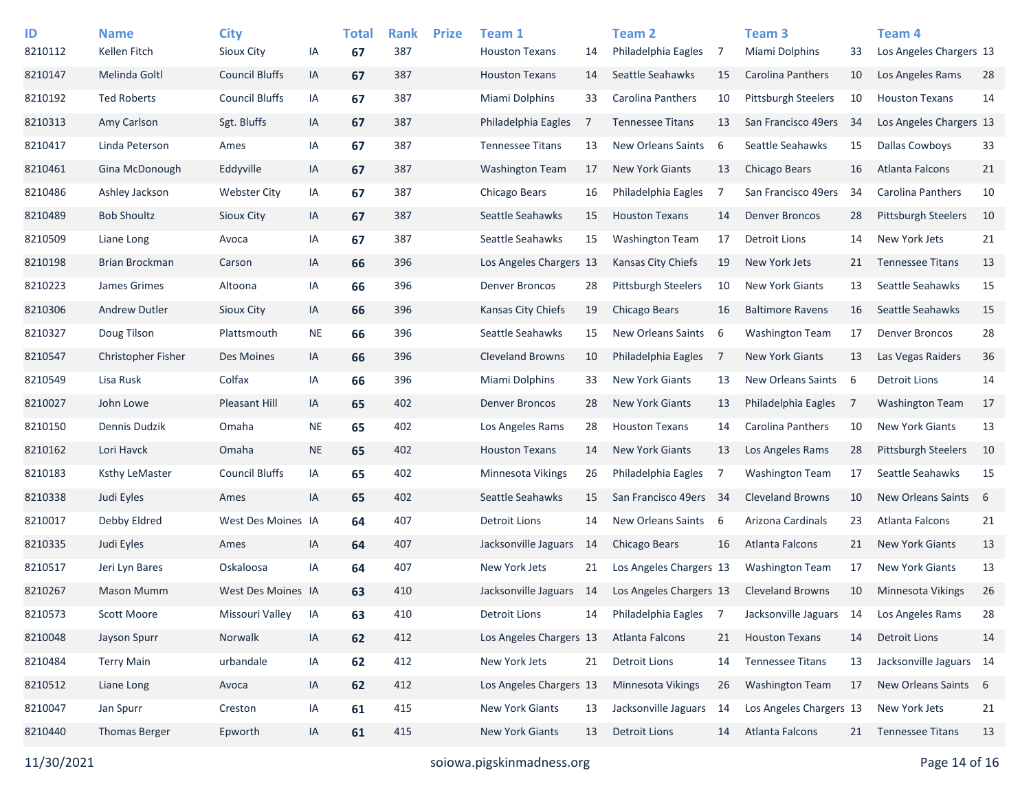| ID<br>8210112 | <b>Name</b><br>Kellen Fitch | <b>City</b><br>Sioux City | IA        | <b>Total</b><br>67 | <b>Rank</b><br>387 | <b>Prize</b> | Team 1<br><b>Houston Texans</b> | 14  | Team 2<br>Philadelphia Eagles | 7  | Team <sub>3</sub><br><b>Miami Dolphins</b> | 33  | <b>Team 4</b><br>Los Angeles Chargers 13 |     |
|---------------|-----------------------------|---------------------------|-----------|--------------------|--------------------|--------------|---------------------------------|-----|-------------------------------|----|--------------------------------------------|-----|------------------------------------------|-----|
| 8210147       | Melinda Goltl               | <b>Council Bluffs</b>     | IA        | 67                 | 387                |              | <b>Houston Texans</b>           | 14  | Seattle Seahawks              | 15 | <b>Carolina Panthers</b>                   | 10  | Los Angeles Rams                         | 28  |
| 8210192       | <b>Ted Roberts</b>          | <b>Council Bluffs</b>     |           |                    | 387                |              | Miami Dolphins                  |     | <b>Carolina Panthers</b>      |    |                                            |     | <b>Houston Texans</b>                    | 14  |
|               |                             |                           | IA        | 67                 |                    |              |                                 | 33  |                               | 10 | <b>Pittsburgh Steelers</b>                 | 10  |                                          |     |
| 8210313       | Amy Carlson                 | Sgt. Bluffs               | IA        | 67                 | 387                |              | Philadelphia Eagles             | 7   | <b>Tennessee Titans</b>       | 13 | San Francisco 49ers                        | -34 | Los Angeles Chargers 13                  |     |
| 8210417       | Linda Peterson              | Ames                      | IA        | 67                 | 387                |              | <b>Tennessee Titans</b>         | 13  | New Orleans Saints            | 6  | Seattle Seahawks                           | 15  | <b>Dallas Cowboys</b>                    | 33  |
| 8210461       | Gina McDonough              | Eddyville                 | IA        | 67                 | 387                |              | <b>Washington Team</b>          | 17  | <b>New York Giants</b>        | 13 | <b>Chicago Bears</b>                       | 16  | <b>Atlanta Falcons</b>                   | 21  |
| 8210486       | Ashley Jackson              | <b>Webster City</b>       | IA        | 67                 | 387                |              | Chicago Bears                   | 16  | Philadelphia Eagles           | 7  | San Francisco 49ers                        | 34  | Carolina Panthers                        | 10  |
| 8210489       | <b>Bob Shoultz</b>          | Sioux City                | IA        | 67                 | 387                |              | Seattle Seahawks                | 15  | <b>Houston Texans</b>         | 14 | <b>Denver Broncos</b>                      | 28  | <b>Pittsburgh Steelers</b>               | 10  |
| 8210509       | Liane Long                  | Avoca                     | IA        | 67                 | 387                |              | Seattle Seahawks                | 15  | <b>Washington Team</b>        | 17 | Detroit Lions                              | 14  | New York Jets                            | 21  |
| 8210198       | Brian Brockman              | Carson                    | IA        | 66                 | 396                |              | Los Angeles Chargers 13         |     | Kansas City Chiefs            | 19 | New York Jets                              | 21  | <b>Tennessee Titans</b>                  | 13  |
| 8210223       | James Grimes                | Altoona                   | IA        | 66                 | 396                |              | Denver Broncos                  | 28  | <b>Pittsburgh Steelers</b>    | 10 | <b>New York Giants</b>                     | 13  | Seattle Seahawks                         | 15  |
| 8210306       | <b>Andrew Dutler</b>        | Sioux City                | IA        | 66                 | 396                |              | Kansas City Chiefs              | 19  | Chicago Bears                 | 16 | <b>Baltimore Ravens</b>                    | 16  | Seattle Seahawks                         | 15  |
| 8210327       | Doug Tilson                 | Plattsmouth               | <b>NE</b> | 66                 | 396                |              | Seattle Seahawks                | 15  | New Orleans Saints            | -6 | <b>Washington Team</b>                     | 17  | <b>Denver Broncos</b>                    | 28  |
| 8210547       | Christopher Fisher          | <b>Des Moines</b>         | IA        | 66                 | 396                |              | <b>Cleveland Browns</b>         | 10  | Philadelphia Eagles           | 7  | <b>New York Giants</b>                     | 13  | Las Vegas Raiders                        | 36  |
| 8210549       | Lisa Rusk                   | Colfax                    | IA        | 66                 | 396                |              | <b>Miami Dolphins</b>           | 33  | <b>New York Giants</b>        | 13 | New Orleans Saints                         | - 6 | <b>Detroit Lions</b>                     | 14  |
| 8210027       | John Lowe                   | Pleasant Hill             | IA        | 65                 | 402                |              | Denver Broncos                  | 28  | <b>New York Giants</b>        | 13 | Philadelphia Eagles                        | 7   | <b>Washington Team</b>                   | 17  |
| 8210150       | Dennis Dudzik               | Omaha                     | <b>NE</b> | 65                 | 402                |              | Los Angeles Rams                | 28  | <b>Houston Texans</b>         | 14 | Carolina Panthers                          | 10  | <b>New York Giants</b>                   | 13  |
| 8210162       | Lori Havck                  | Omaha                     | <b>NE</b> | 65                 | 402                |              | <b>Houston Texans</b>           | 14  | <b>New York Giants</b>        | 13 | Los Angeles Rams                           | 28  | <b>Pittsburgh Steelers</b>               | 10  |
| 8210183       | Ksthy LeMaster              | <b>Council Bluffs</b>     | IA        | 65                 | 402                |              | Minnesota Vikings               | 26  | Philadelphia Eagles           | 7  | <b>Washington Team</b>                     | 17  | Seattle Seahawks                         | 15  |
| 8210338       | Judi Eyles                  | Ames                      | IA        | 65                 | 402                |              | Seattle Seahawks                | 15  | San Francisco 49ers 34        |    | <b>Cleveland Browns</b>                    | 10  | New Orleans Saints                       | - 6 |
| 8210017       | Debby Eldred                | West Des Moines IA        |           | 64                 | 407                |              | <b>Detroit Lions</b>            | 14  | New Orleans Saints            | -6 | Arizona Cardinals                          | 23  | Atlanta Falcons                          | 21  |
| 8210335       | Judi Eyles                  | Ames                      | IA        | 64                 | 407                |              | Jacksonville Jaguars            | 14  | Chicago Bears                 | 16 | Atlanta Falcons                            | 21  | <b>New York Giants</b>                   | 13  |
| 8210517       | Jeri Lyn Bares              | Oskaloosa                 | IA        | 64                 | 407                |              | New York Jets                   | 21  | Los Angeles Chargers 13       |    | <b>Washington Team</b>                     | 17  | <b>New York Giants</b>                   | 13  |
| 8210267       | <b>Mason Mumm</b>           | West Des Moines IA        |           | 63                 | 410                |              | Jacksonville Jaguars            | -14 | Los Angeles Chargers 13       |    | <b>Cleveland Browns</b>                    | 10  | <b>Minnesota Vikings</b>                 | 26  |
| 8210573       | <b>Scott Moore</b>          | Missouri Valley           | IA        | 63                 | 410                |              | <b>Detroit Lions</b>            | 14  | Philadelphia Eagles           | 7  | Jacksonville Jaguars                       | 14  | Los Angeles Rams                         | 28  |
| 8210048       | Jayson Spurr                | Norwalk                   | IA        | 62                 | 412                |              | Los Angeles Chargers 13         |     | Atlanta Falcons               | 21 | <b>Houston Texans</b>                      | 14  | <b>Detroit Lions</b>                     | 14  |
| 8210484       | <b>Terry Main</b>           | urbandale                 | IA        | 62                 | 412                |              | New York Jets                   | 21  | <b>Detroit Lions</b>          | 14 | <b>Tennessee Titans</b>                    | 13  | Jacksonville Jaguars 14                  |     |
| 8210512       | Liane Long                  | Avoca                     | IA        | 62                 | 412                |              | Los Angeles Chargers 13         |     | Minnesota Vikings             | 26 | <b>Washington Team</b>                     | 17  | New Orleans Saints 6                     |     |
| 8210047       | Jan Spurr                   | Creston                   | IA        | 61                 | 415                |              | <b>New York Giants</b>          | 13  | Jacksonville Jaguars 14       |    | Los Angeles Chargers 13                    |     | New York Jets                            | 21  |
| 8210440       | <b>Thomas Berger</b>        | Epworth                   | IA        | 61                 | 415                |              | New York Giants                 | 13  | Detroit Lions                 | 14 | Atlanta Falcons                            | 21  | <b>Tennessee Titans</b>                  | 13  |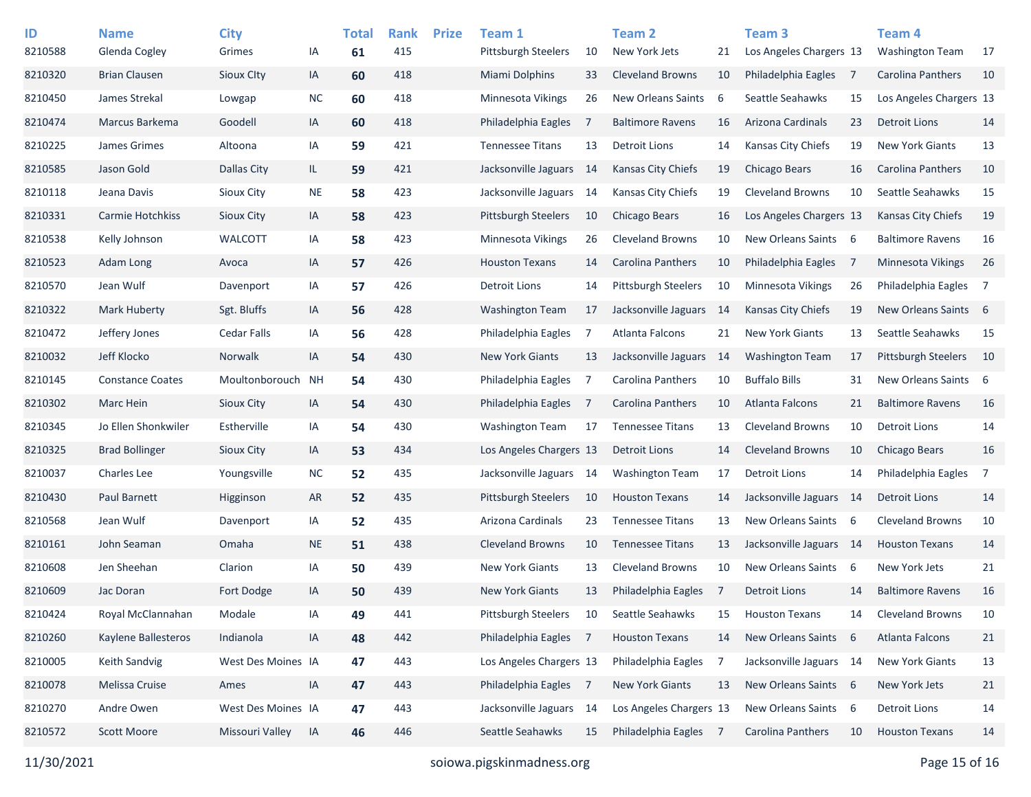| ID<br>8210588 | <b>Name</b><br>Glenda Cogley | <b>City</b><br>Grimes | IA        | <b>Total</b><br>61 | <b>Rank</b><br>415 | <b>Prize</b> | Team 1<br><b>Pittsburgh Steelers</b> | 10  | Team <sub>2</sub><br>New York Jets | 21  | Team 3<br>Los Angeles Chargers 13 |      | Team <sub>4</sub><br><b>Washington Team</b> | 17             |
|---------------|------------------------------|-----------------------|-----------|--------------------|--------------------|--------------|--------------------------------------|-----|------------------------------------|-----|-----------------------------------|------|---------------------------------------------|----------------|
| 8210320       | <b>Brian Clausen</b>         | Sioux Clty            | IA        | 60                 | 418                |              | Miami Dolphins                       | 33  | <b>Cleveland Browns</b>            | 10  | Philadelphia Eagles               | - 7  | Carolina Panthers                           | 10             |
| 8210450       | James Strekal                | Lowgap                | <b>NC</b> | 60                 | 418                |              | <b>Minnesota Vikings</b>             | 26  | New Orleans Saints                 | 6   | Seattle Seahawks                  | 15   | Los Angeles Chargers 13                     |                |
| 8210474       | Marcus Barkema               | Goodell               | IA        | 60                 | 418                |              | Philadelphia Eagles                  | 7   | <b>Baltimore Ravens</b>            | 16  | Arizona Cardinals                 | 23   | <b>Detroit Lions</b>                        | 14             |
| 8210225       | James Grimes                 | Altoona               | IA        | 59                 | 421                |              | <b>Tennessee Titans</b>              | 13  | Detroit Lions                      | 14  | Kansas City Chiefs                | 19   | <b>New York Giants</b>                      | 13             |
| 8210585       | Jason Gold                   | Dallas City           | IL.       | 59                 | 421                |              | Jacksonville Jaguars                 | -14 | <b>Kansas City Chiefs</b>          | 19  | Chicago Bears                     | 16   | Carolina Panthers                           | 10             |
| 8210118       | Jeana Davis                  | Sioux City            | <b>NE</b> | 58                 | 423                |              | Jacksonville Jaguars                 | 14  | Kansas City Chiefs                 | 19  | <b>Cleveland Browns</b>           | 10   | Seattle Seahawks                            | 15             |
| 8210331       | Carmie Hotchkiss             | <b>Sioux City</b>     | IA        | 58                 | 423                |              | <b>Pittsburgh Steelers</b>           | 10  | Chicago Bears                      | 16  | Los Angeles Chargers 13           |      | <b>Kansas City Chiefs</b>                   | 19             |
| 8210538       | Kelly Johnson                | <b>WALCOTT</b>        | IA        | 58                 | 423                |              | Minnesota Vikings                    | 26  | <b>Cleveland Browns</b>            | 10  | New Orleans Saints 6              |      | <b>Baltimore Ravens</b>                     | 16             |
| 8210523       | Adam Long                    | Avoca                 | IA        | 57                 | 426                |              | <b>Houston Texans</b>                | 14  | Carolina Panthers                  | 10  | Philadelphia Eagles               | - 7  | Minnesota Vikings                           | 26             |
| 8210570       | Jean Wulf                    | Davenport             | IA        | 57                 | 426                |              | Detroit Lions                        | 14  | <b>Pittsburgh Steelers</b>         | 10  | <b>Minnesota Vikings</b>          | 26   | Philadelphia Eagles                         | $\overline{7}$ |
| 8210322       | Mark Huberty                 | Sgt. Bluffs           | IA        | 56                 | 428                |              | <b>Washington Team</b>               | 17  | Jacksonville Jaguars 14            |     | <b>Kansas City Chiefs</b>         | 19   | New Orleans Saints 6                        |                |
| 8210472       | Jeffery Jones                | <b>Cedar Falls</b>    | IA        | 56                 | 428                |              | Philadelphia Eagles                  | 7   | Atlanta Falcons                    | 21  | <b>New York Giants</b>            | 13   | Seattle Seahawks                            | 15             |
| 8210032       | Jeff Klocko                  | Norwalk               | IA        | 54                 | 430                |              | <b>New York Giants</b>               | 13  | Jacksonville Jaguars               | -14 | <b>Washington Team</b>            | 17   | <b>Pittsburgh Steelers</b>                  | 10             |
| 8210145       | <b>Constance Coates</b>      | Moultonborouch        | <b>NH</b> | 54                 | 430                |              | Philadelphia Eagles                  | 7   | Carolina Panthers                  | 10  | <b>Buffalo Bills</b>              | 31   | New Orleans Saints 6                        |                |
| 8210302       | Marc Hein                    | <b>Sioux City</b>     | IA        | 54                 | 430                |              | Philadelphia Eagles                  | 7   | Carolina Panthers                  | 10  | <b>Atlanta Falcons</b>            | 21   | <b>Baltimore Ravens</b>                     | 16             |
| 8210345       | Jo Ellen Shonkwiler          | Estherville           | IA        | 54                 | 430                |              | <b>Washington Team</b>               | 17  | <b>Tennessee Titans</b>            | 13  | <b>Cleveland Browns</b>           | 10   | <b>Detroit Lions</b>                        | 14             |
| 8210325       | <b>Brad Bollinger</b>        | Sioux City            | IA        | 53                 | 434                |              | Los Angeles Chargers 13              |     | <b>Detroit Lions</b>               | 14  | <b>Cleveland Browns</b>           | 10   | Chicago Bears                               | 16             |
| 8210037       | <b>Charles Lee</b>           | Youngsville           | <b>NC</b> | 52                 | 435                |              | Jacksonville Jaguars                 | -14 | <b>Washington Team</b>             | 17  | <b>Detroit Lions</b>              | 14   | Philadelphia Eagles                         | 7              |
| 8210430       | Paul Barnett                 | Higginson             | AR        | 52                 | 435                |              | <b>Pittsburgh Steelers</b>           | 10  | <b>Houston Texans</b>              | 14  | Jacksonville Jaguars              | - 14 | <b>Detroit Lions</b>                        | 14             |
| 8210568       | Jean Wulf                    | Davenport             | IA        | 52                 | 435                |              | Arizona Cardinals                    | 23  | <b>Tennessee Titans</b>            | 13  | New Orleans Saints                | - 6  | <b>Cleveland Browns</b>                     | 10             |
| 8210161       | John Seaman                  | Omaha                 | <b>NE</b> | 51                 | 438                |              | <b>Cleveland Browns</b>              | 10  | <b>Tennessee Titans</b>            | 13  | Jacksonville Jaguars              | 14   | <b>Houston Texans</b>                       | 14             |
| 8210608       | Jen Sheehan                  | Clarion               | IA        | 50                 | 439                |              | <b>New York Giants</b>               | 13  | <b>Cleveland Browns</b>            | 10  | New Orleans Saints                | - 6  | New York Jets                               | 21             |
| 8210609       | Jac Doran                    | Fort Dodge            | IA        | 50                 | 439                |              | <b>New York Giants</b>               | 13  | Philadelphia Eagles                | 7   | <b>Detroit Lions</b>              | 14   | <b>Baltimore Ravens</b>                     | 16             |
| 8210424       | Royal McClannahan            | Modale                | IA        | 49                 | 441                |              | Pittsburgh Steelers                  | 10  | Seattle Seahawks                   | 15  | <b>Houston Texans</b>             | 14   | <b>Cleveland Browns</b>                     | 10             |
| 8210260       | Kaylene Ballesteros          | Indianola             | IA        | 48                 | 442                |              | Philadelphia Eagles 7                |     | <b>Houston Texans</b>              | 14  | New Orleans Saints 6              |      | Atlanta Falcons                             | 21             |
| 8210005       | Keith Sandvig                | West Des Moines IA    |           | 47                 | 443                |              | Los Angeles Chargers 13              |     | Philadelphia Eagles                | 7   | Jacksonville Jaguars 14           |      | <b>New York Giants</b>                      | 13             |
| 8210078       | Melissa Cruise               | Ames                  | IA        | 47                 | 443                |              | Philadelphia Eagles 7                |     | New York Giants                    | 13  | New Orleans Saints 6              |      | New York Jets                               | 21             |
| 8210270       | Andre Owen                   | West Des Moines IA    |           | 47                 | 443                |              | Jacksonville Jaguars 14              |     | Los Angeles Chargers 13            |     | New Orleans Saints                | - 6  | <b>Detroit Lions</b>                        | 14             |
| 8210572       | Scott Moore                  | Missouri Valley       | IA        | 46                 | 446                |              | Seattle Seahawks                     | 15  | Philadelphia Eagles 7              |     | Carolina Panthers                 | 10   | <b>Houston Texans</b>                       | 14             |